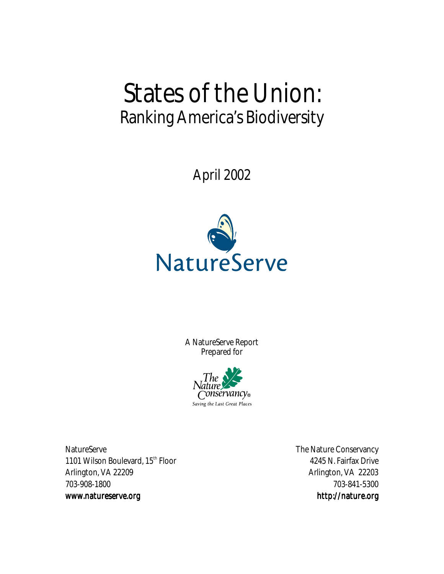# States of the Union: Ranking America's Biodiversity

April 2002



A NatureServe Report Prepared for



NatureServe **The Nature Conservancy** 1101 Wilson Boulevard, 15<sup>th</sup> Floor 4245 N. Fairfax Drive Arlington, VA 22209 Arlington, VA 22203 703-908-1800 703-841-5300 www.natureserve.org www.natureserve.org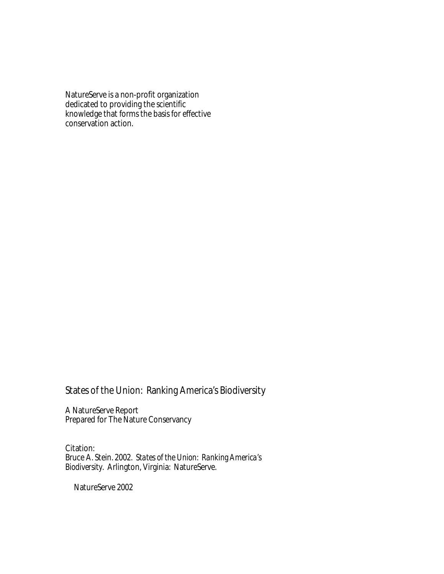NatureServe is a non-profit organization dedicated to providing the scientific knowledge that forms the basis for effective conservation action.

States of the Union: Ranking America's Biodiversity

A NatureServe Report Prepared for The Nature Conservancy

Citation: Bruce A. Stein. 2002. *States of the Union: Ranking America's Biodiversity*. Arlington, Virginia: NatureServe.

NatureServe 2002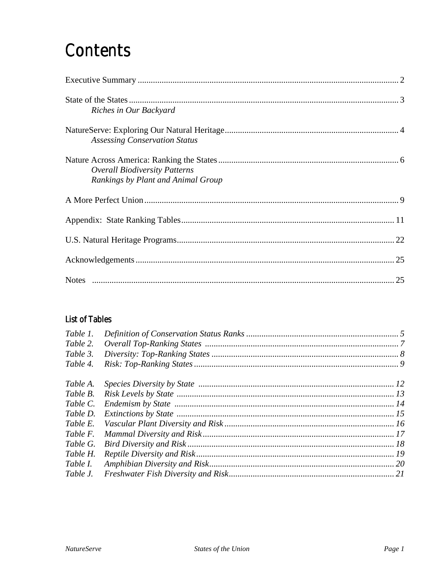## Contents

| Riches in Our Backyard                                                     |  |
|----------------------------------------------------------------------------|--|
| <b>Assessing Conservation Status</b>                                       |  |
| <b>Overall Biodiversity Patterns</b><br>Rankings by Plant and Animal Group |  |
|                                                                            |  |
|                                                                            |  |
|                                                                            |  |
|                                                                            |  |
|                                                                            |  |

#### **List of Tables**

| Table 1. |  |
|----------|--|
| Table 2. |  |
| Table 3. |  |
| Table 4. |  |
| Table A. |  |
| Table B. |  |
| Table C. |  |
| Table D. |  |
| Table E. |  |
| Table F. |  |
| Table G. |  |
| Table H. |  |
| Table I. |  |
| Table J. |  |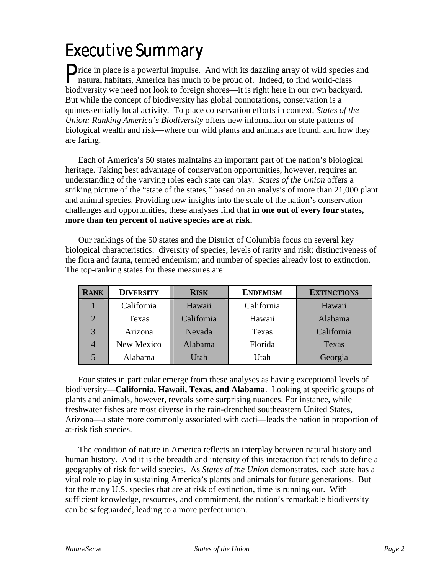# Executive Summary

Pride in place is a powerful impulse. And with its dazzling array of wild species and natural habitats, America has much to be proud of. Indeed, to find world-class natural habitats, America has much to be proud of. Indeed, to find world-class biodiversity we need not look to foreign shores—it is right here in our own backyard. But while the concept of biodiversity has global connotations, conservation is a quintessentially local activity. To place conservation efforts in context, *States of the Union: Ranking America's Biodiversity* offers new information on state patterns of biological wealth and risk—where our wild plants and animals are found, and how they are faring.

Each of America's 50 states maintains an important part of the nation's biological heritage. Taking best advantage of conservation opportunities, however, requires an understanding of the varying roles each state can play. *States of the Union* offers a striking picture of the "state of the states," based on an analysis of more than 21,000 plant and animal species. Providing new insights into the scale of the nation's conservation challenges and opportunities, these analyses find that **in one out of every four states, more than ten percent of native species are at risk.**

Our rankings of the 50 states and the District of Columbia focus on several key biological characteristics: diversity of species; levels of rarity and risk; distinctiveness of the flora and fauna, termed endemism; and number of species already lost to extinction. The top-ranking states for these measures are:

| <b>RANK</b>           | <b>DIVERSITY</b> | <b>RISK</b> | <b>ENDEMISM</b> | <b>EXTINCTIONS</b> |
|-----------------------|------------------|-------------|-----------------|--------------------|
|                       | California       | Hawaii      | California      | Hawaii             |
| $\mathcal{D}_{\cdot}$ | Texas            | California  | Hawaii          | Alabama            |
| 3                     | Arizona          | Nevada      | Texas           | California         |
| $\overline{4}$        | New Mexico       | Alabama     | Florida         | Texas              |
| 5                     | Alabama          | Utah        | Utah            | Georgia            |

Four states in particular emerge from these analyses as having exceptional levels of biodiversity—**California, Hawaii, Texas, and Alabama**. Looking at specific groups of plants and animals, however, reveals some surprising nuances. For instance, while freshwater fishes are most diverse in the rain-drenched southeastern United States, Arizona—a state more commonly associated with cacti—leads the nation in proportion of at-risk fish species.

The condition of nature in America reflects an interplay between natural history and human history. And it is the breadth and intensity of this interaction that tends to define a geography of risk for wild species. As *States of the Union* demonstrates, each state has a vital role to play in sustaining America's plants and animals for future generations. But for the many U.S. species that are at risk of extinction, time is running out. With sufficient knowledge, resources, and commitment, the nation's remarkable biodiversity can be safeguarded, leading to a more perfect union.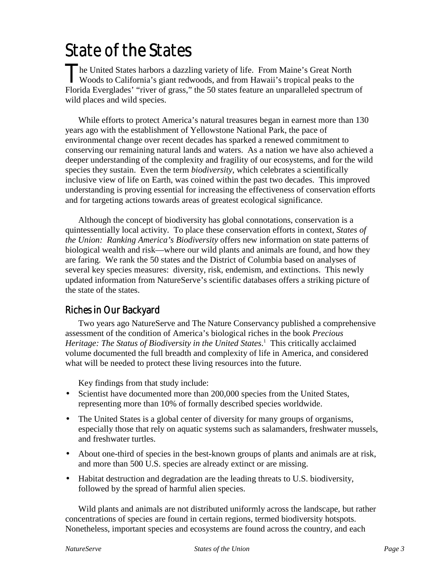## State of the States

he United States harbors a dazzling variety of life. From Maine's Great North The United States harbors a dazzling variety of life. From Maine's Great North<br>Woods to California's giant redwoods, and from Hawaii's tropical peaks to the Florida Everglades' "river of grass," the 50 states feature an unparalleled spectrum of wild places and wild species.

While efforts to protect America's natural treasures began in earnest more than 130 years ago with the establishment of Yellowstone National Park, the pace of environmental change over recent decades has sparked a renewed commitment to conserving our remaining natural lands and waters. As a nation we have also achieved a deeper understanding of the complexity and fragility of our ecosystems, and for the wild species they sustain. Even the term *biodiversity*, which celebrates a scientifically inclusive view of life on Earth, was coined within the past two decades. This improved understanding is proving essential for increasing the effectiveness of conservation efforts and for targeting actions towards areas of greatest ecological significance.

Although the concept of biodiversity has global connotations, conservation is a quintessentially local activity. To place these conservation efforts in context, *States of the Union: Ranking America's Biodiversity* offers new information on state patterns of biological wealth and risk—where our wild plants and animals are found, and how they are faring. We rank the 50 states and the District of Columbia based on analyses of several key species measures: diversity, risk, endemism, and extinctions. This newly updated information from NatureServe's scientific databases offers a striking picture of the state of the states.

#### Riches in Our Backyard

Two years ago NatureServe and The Nature Conservancy published a comprehensive assessment of the condition of America's biological riches in the book *Precious Heritage: The Status of Biodiversity in the United States*. <sup>1</sup> This critically acclaimed volume documented the full breadth and complexity of life in America, and considered what will be needed to protect these living resources into the future.

Key findings from that study include:

- Scientist have documented more than 200,000 species from the United States, representing more than 10% of formally described species worldwide.
- The United States is a global center of diversity for many groups of organisms, especially those that rely on aquatic systems such as salamanders, freshwater mussels, and freshwater turtles.
- About one-third of species in the best-known groups of plants and animals are at risk, and more than 500 U.S. species are already extinct or are missing.
- Habitat destruction and degradation are the leading threats to U.S. biodiversity, followed by the spread of harmful alien species.

Wild plants and animals are not distributed uniformly across the landscape, but rather concentrations of species are found in certain regions, termed biodiversity hotspots. Nonetheless, important species and ecosystems are found across the country, and each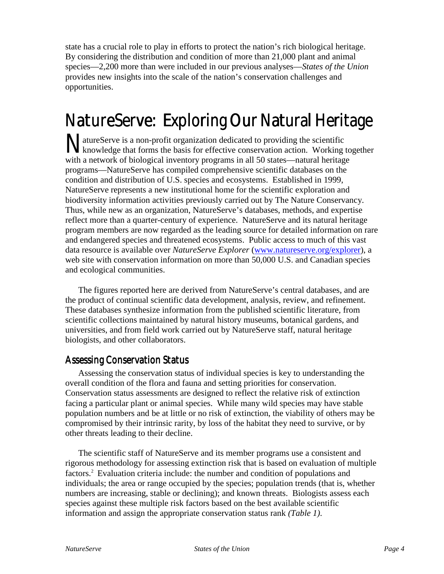state has a crucial role to play in efforts to protect the nation's rich biological heritage. By considering the distribution and condition of more than 21,000 plant and animal species—2,200 more than were included in our previous analyses—*States of the Union* provides new insights into the scale of the nation's conservation challenges and opportunities.

## NatureServe: Exploring Our Natural Heritage

atureServe is a non-profit organization dedicated to providing the scientific MatureServe is a non-profit organization dedicated to providing the scientific<br>knowledge that forms the basis for effective conservation action. Working together with a network of biological inventory programs in all 50 states—natural heritage programs—NatureServe has compiled comprehensive scientific databases on the condition and distribution of U.S. species and ecosystems. Established in 1999, NatureServe represents a new institutional home for the scientific exploration and biodiversity information activities previously carried out by The Nature Conservancy. Thus, while new as an organization, NatureServe's databases, methods, and expertise reflect more than a quarter-century of experience. NatureServe and its natural heritage program members are now regarded as the leading source for detailed information on rare and endangered species and threatened ecosystems. Public access to much of this vast data resource is available over *NatureServe Explorer* (www.natureserve.org/explorer), a web site with conservation information on more than 50,000 U.S. and Canadian species and ecological communities.

The figures reported here are derived from NatureServe's central databases, and are the product of continual scientific data development, analysis, review, and refinement. These databases synthesize information from the published scientific literature, from scientific collections maintained by natural history museums, botanical gardens, and universities, and from field work carried out by NatureServe staff, natural heritage biologists, and other collaborators.

#### **Assessing Conservation Status**

Assessing the conservation status of individual species is key to understanding the overall condition of the flora and fauna and setting priorities for conservation. Conservation status assessments are designed to reflect the relative risk of extinction facing a particular plant or animal species. While many wild species may have stable population numbers and be at little or no risk of extinction, the viability of others may be compromised by their intrinsic rarity, by loss of the habitat they need to survive, or by other threats leading to their decline.

The scientific staff of NatureServe and its member programs use a consistent and rigorous methodology for assessing extinction risk that is based on evaluation of multiple factors.2 Evaluation criteria include: the number and condition of populations and individuals; the area or range occupied by the species; population trends (that is, whether numbers are increasing, stable or declining); and known threats. Biologists assess each species against these multiple risk factors based on the best available scientific information and assign the appropriate conservation status rank *(Table 1)*.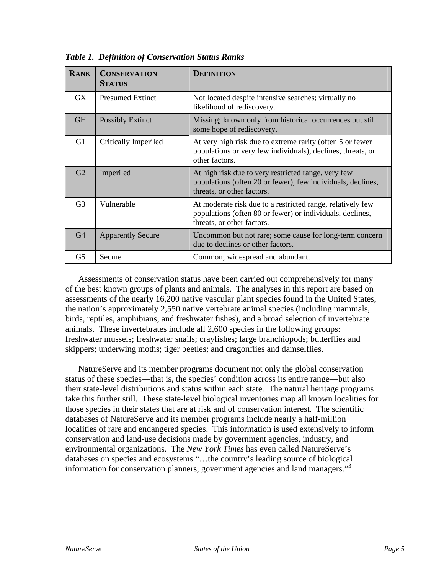| <b>RANK</b>    | <b>CONSERVATION</b><br><b>STATUS</b> | <b>DEFINITION</b>                                                                                                                                     |
|----------------|--------------------------------------|-------------------------------------------------------------------------------------------------------------------------------------------------------|
| GX             | <b>Presumed Extinct</b>              | Not located despite intensive searches; virtually no<br>likelihood of rediscovery.                                                                    |
| <b>GH</b>      | <b>Possibly Extinct</b>              | Missing; known only from historical occurrences but still<br>some hope of rediscovery.                                                                |
| G1             | Critically Imperiled                 | At very high risk due to extreme rarity (often 5 or fewer<br>populations or very few individuals), declines, threats, or<br>other factors.            |
| G2             | Imperiled                            | At high risk due to very restricted range, very few<br>populations (often 20 or fewer), few individuals, declines,<br>threats, or other factors.      |
| G <sub>3</sub> | Vulnerable                           | At moderate risk due to a restricted range, relatively few<br>populations (often 80 or fewer) or individuals, declines,<br>threats, or other factors. |
| G <sub>4</sub> | <b>Apparently Secure</b>             | Uncommon but not rare; some cause for long-term concern<br>due to declines or other factors.                                                          |
| G5             | Secure                               | Common; widespread and abundant.                                                                                                                      |

*Table 1. Definition of Conservation Status Ranks*

Assessments of conservation status have been carried out comprehensively for many of the best known groups of plants and animals. The analyses in this report are based on assessments of the nearly 16,200 native vascular plant species found in the United States, the nation's approximately 2,550 native vertebrate animal species (including mammals, birds, reptiles, amphibians, and freshwater fishes), and a broad selection of invertebrate animals. These invertebrates include all 2,600 species in the following groups: freshwater mussels; freshwater snails; crayfishes; large branchiopods; butterflies and skippers; underwing moths; tiger beetles; and dragonflies and damselflies.

NatureServe and its member programs document not only the global conservation status of these species—that is, the species' condition across its entire range—but also their state-level distributions and status within each state. The natural heritage programs take this further still. These state-level biological inventories map all known localities for those species in their states that are at risk and of conservation interest. The scientific databases of NatureServe and its member programs include nearly a half-million localities of rare and endangered species. This information is used extensively to inform conservation and land-use decisions made by government agencies, industry, and environmental organizations. The *New York Times* has even called NatureServe's databases on species and ecosystems "…the country's leading source of biological information for conservation planners, government agencies and land managers." 3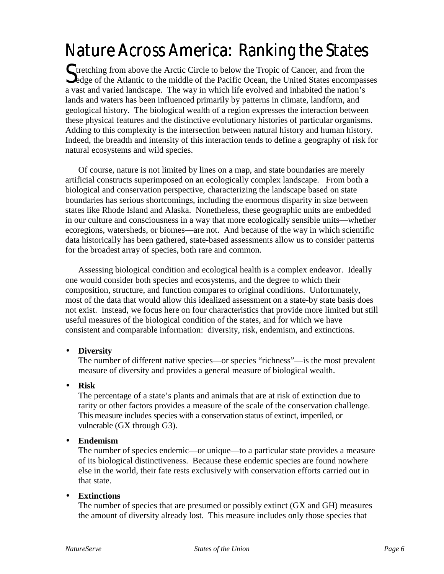# Nature Across America: Ranking the States

Stretching from above the Arctic Circle to below the Tropic of Cancer, and from the Sedge of the Atlantic to the middle of the Pacific Ocean, the United States encompas  $\bf{Q}$ edge of the Atlantic to the middle of the Pacific Ocean, the United States encompasses a vast and varied landscape. The way in which life evolved and inhabited the nation's lands and waters has been influenced primarily by patterns in climate, landform, and geological history. The biological wealth of a region expresses the interaction between these physical features and the distinctive evolutionary histories of particular organisms. Adding to this complexity is the intersection between natural history and human history. Indeed, the breadth and intensity of this interaction tends to define a geography of risk for natural ecosystems and wild species.

Of course, nature is not limited by lines on a map, and state boundaries are merely artificial constructs superimposed on an ecologically complex landscape. From both a biological and conservation perspective, characterizing the landscape based on state boundaries has serious shortcomings, including the enormous disparity in size between states like Rhode Island and Alaska. Nonetheless, these geographic units are embedded in our culture and consciousness in a way that more ecologically sensible units—whether ecoregions, watersheds, or biomes—are not. And because of the way in which scientific data historically has been gathered, state-based assessments allow us to consider patterns for the broadest array of species, both rare and common.

Assessing biological condition and ecological health is a complex endeavor. Ideally one would consider both species and ecosystems, and the degree to which their composition, structure, and function compares to original conditions. Unfortunately, most of the data that would allow this idealized assessment on a state-by state basis does not exist. Instead, we focus here on four characteristics that provide more limited but still useful measures of the biological condition of the states, and for which we have consistent and comparable information: diversity, risk, endemism, and extinctions.

#### • **Diversity**

The number of different native species—or species "richness"—is the most prevalent measure of diversity and provides a general measure of biological wealth.

#### • **Risk**

The percentage of a state's plants and animals that are at risk of extinction due to rarity or other factors provides a measure of the scale of the conservation challenge. This measure includes species with a conservation status of extinct, imperiled, or vulnerable (GX through G3).

#### • **Endemism**

The number of species endemic—or unique—to a particular state provides a measure of its biological distinctiveness. Because these endemic species are found nowhere else in the world, their fate rests exclusively with conservation efforts carried out in that state.

#### • **Extinctions**

The number of species that are presumed or possibly extinct (GX and GH) measures the amount of diversity already lost. This measure includes only those species that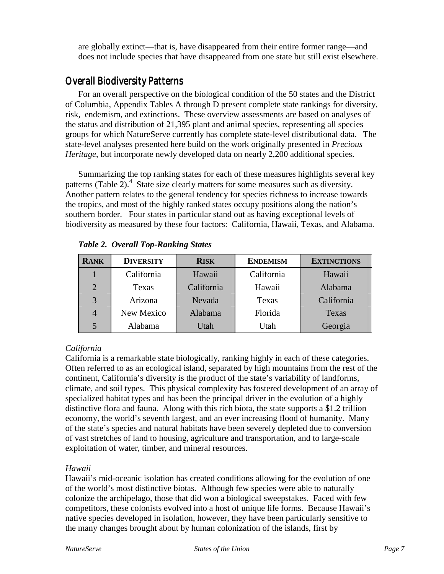are globally extinct—that is, have disappeared from their entire former range—and does not include species that have disappeared from one state but still exist elsewhere.

#### **Overall Biodiversity Patterns**

For an overall perspective on the biological condition of the 50 states and the District of Columbia, Appendix Tables A through D present complete state rankings for diversity, risk, endemism, and extinctions. These overview assessments are based on analyses of the status and distribution of 21,395 plant and animal species, representing all species groups for which NatureServe currently has complete state-level distributional data. The state-level analyses presented here build on the work originally presented in *Precious Heritage*, but incorporate newly developed data on nearly 2,200 additional species.

Summarizing the top ranking states for each of these measures highlights several key patterns (Table 2). $4$  State size clearly matters for some measures such as diversity. Another pattern relates to the general tendency for species richness to increase towards the tropics, and most of the highly ranked states occupy positions along the nation's southern border. Four states in particular stand out as having exceptional levels of biodiversity as measured by these four factors: California, Hawaii, Texas, and Alabama.

| <b>RANK</b>    | <b>DIVERSITY</b> | <b>RISK</b> | <b>ENDEMISM</b> | <b>EXTINCTIONS</b> |
|----------------|------------------|-------------|-----------------|--------------------|
|                | California       | Hawaii      | California      | Hawaii             |
| $\overline{2}$ | Texas            | California  | Hawaii          | Alabama            |
| 3              | Arizona          | Nevada      | Texas           | California         |
| 4              | New Mexico       | Alabama     | Florida         | Texas              |
|                | Alabama          | Utah        | Utah            | Georgia            |

*Table 2. Overall Top-Ranking States*

#### *California*

California is a remarkable state biologically, ranking highly in each of these categories. Often referred to as an ecological island, separated by high mountains from the rest of the continent, California's diversity is the product of the state's variability of landforms, climate, and soil types. This physical complexity has fostered development of an array of specialized habitat types and has been the principal driver in the evolution of a highly distinctive flora and fauna. Along with this rich biota, the state supports a \$1.2 trillion economy, the world's seventh largest, and an ever increasing flood of humanity. Many of the state's species and natural habitats have been severely depleted due to conversion of vast stretches of land to housing, agriculture and transportation, and to large-scale exploitation of water, timber, and mineral resources.

#### *Hawaii*

Hawaii's mid-oceanic isolation has created conditions allowing for the evolution of one of the world's most distinctive biotas. Although few species were able to naturally colonize the archipelago, those that did won a biological sweepstakes. Faced with few competitors, these colonists evolved into a host of unique life forms. Because Hawaii's native species developed in isolation, however, they have been particularly sensitive to the many changes brought about by human colonization of the islands, first by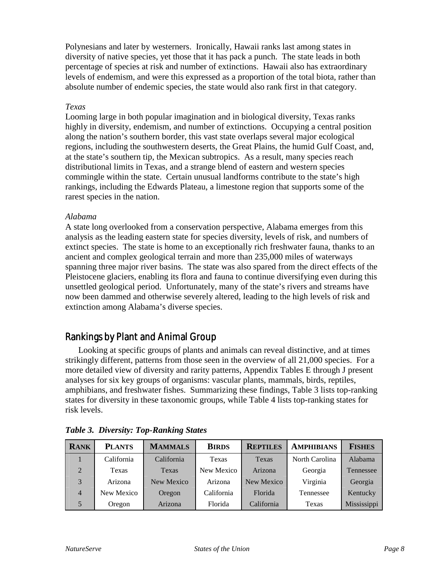Polynesians and later by westerners. Ironically, Hawaii ranks last among states in diversity of native species, yet those that it has pack a punch. The state leads in both percentage of species at risk and number of extinctions. Hawaii also has extraordinary levels of endemism, and were this expressed as a proportion of the total biota, rather than absolute number of endemic species, the state would also rank first in that category.

#### *Texas*

Looming large in both popular imagination and in biological diversity, Texas ranks highly in diversity, endemism, and number of extinctions. Occupying a central position along the nation's southern border, this vast state overlaps several major ecological regions, including the southwestern deserts, the Great Plains, the humid Gulf Coast, and, at the state's southern tip, the Mexican subtropics. As a result, many species reach distributional limits in Texas, and a strange blend of eastern and western species commingle within the state. Certain unusual landforms contribute to the state's high rankings, including the Edwards Plateau, a limestone region that supports some of the rarest species in the nation.

#### *Alabama*

A state long overlooked from a conservation perspective, Alabama emerges from this analysis as the leading eastern state for species diversity, levels of risk, and numbers of extinct species. The state is home to an exceptionally rich freshwater fauna, thanks to an ancient and complex geological terrain and more than 235,000 miles of waterways spanning three major river basins. The state was also spared from the direct effects of the Pleistocene glaciers, enabling its flora and fauna to continue diversifying even during this unsettled geological period. Unfortunately, many of the state's rivers and streams have now been dammed and otherwise severely altered, leading to the high levels of risk and extinction among Alabama's diverse species.

#### Rankings by Plant and Animal Group

Looking at specific groups of plants and animals can reveal distinctive, and at times strikingly different, patterns from those seen in the overview of all 21,000 species. For a more detailed view of diversity and rarity patterns, Appendix Tables E through J present analyses for six key groups of organisms: vascular plants, mammals, birds, reptiles, amphibians, and freshwater fishes. Summarizing these findings, Table 3 lists top-ranking states for diversity in these taxonomic groups, while Table 4 lists top-ranking states for risk levels.

| <b>RANK</b>    | <b>PLANTS</b> | <b>MAMMALS</b> | <b>BIRDS</b> | <b>REPTILES</b> | <b>AMPHIBIANS</b> | <b>FISHES</b> |
|----------------|---------------|----------------|--------------|-----------------|-------------------|---------------|
|                | California    | California     | Texas        | Texas           | North Carolina    | Alabama       |
| $\overline{2}$ | Texas         | Texas          | New Mexico   | Arizona         | Georgia           | Tennessee     |
| 3              | Arizona       | New Mexico     | Arizona      | New Mexico      | Virginia          | Georgia       |
| $\overline{4}$ | New Mexico    | Oregon         | California   | Florida         | Tennessee         | Kentucky      |
|                | Oregon        | Arizona        | Florida      | California      | Texas             | Mississippi   |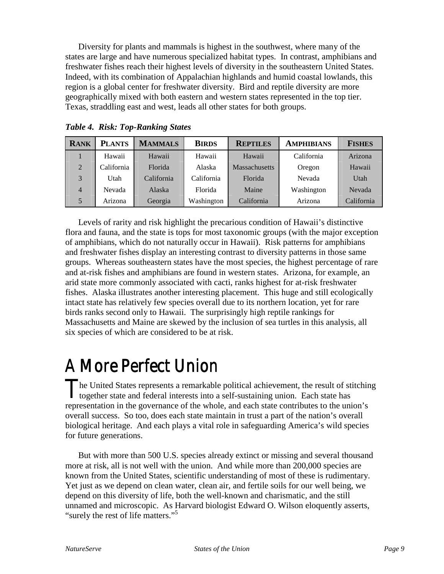Diversity for plants and mammals is highest in the southwest, where many of the states are large and have numerous specialized habitat types. In contrast, amphibians and freshwater fishes reach their highest levels of diversity in the southeastern United States. Indeed, with its combination of Appalachian highlands and humid coastal lowlands, this region is a global center for freshwater diversity. Bird and reptile diversity are more geographically mixed with both eastern and western states represented in the top tier. Texas, straddling east and west, leads all other states for both groups.

| <b>RANK</b>    | <b>PLANTS</b> | <b>MAMMALS</b> | <b>BIRDS</b> | <b>REPTILES</b>      | <b>AMPHIBIANS</b> | <b>FISHES</b> |
|----------------|---------------|----------------|--------------|----------------------|-------------------|---------------|
|                | Hawaii        | Hawaii         | Hawaii       | Hawaii               | California        | Arizona       |
| 2              | California    | Florida        | Alaska       | <b>Massachusetts</b> | Oregon            | Hawaii        |
| 3              | Utah          | California     | California   | Florida              | Nevada            | Utah          |
| $\overline{4}$ | Nevada        | Alaska         | Florida      | Maine                | Washington        | Nevada        |
| 5              | Arizona       | Georgia        | Washington   | California           | Arizona           | California    |

*Table 4. Risk: Top-Ranking States*

Levels of rarity and risk highlight the precarious condition of Hawaii's distinctive flora and fauna, and the state is tops for most taxonomic groups (with the major exception of amphibians, which do not naturally occur in Hawaii). Risk patterns for amphibians and freshwater fishes display an interesting contrast to diversity patterns in those same groups. Whereas southeastern states have the most species, the highest percentage of rare and at-risk fishes and amphibians are found in western states. Arizona, for example, an arid state more commonly associated with cacti, ranks highest for at-risk freshwater fishes. Alaska illustrates another interesting placement. This huge and still ecologically intact state has relatively few species overall due to its northern location, yet for rare birds ranks second only to Hawaii. The surprisingly high reptile rankings for Massachusetts and Maine are skewed by the inclusion of sea turtles in this analysis, all six species of which are considered to be at risk.

## A More Perfect Union

he United States represents a remarkable political achievement, the result of stitching The United States represents a remarkable political achievement, the result of st<br>together state and federal interests into a self-sustaining union. Each state has representation in the governance of the whole, and each state contributes to the union's overall success. So too, does each state maintain in trust a part of the nation's overall biological heritage. And each plays a vital role in safeguarding America's wild species for future generations.

But with more than 500 U.S. species already extinct or missing and several thousand more at risk, all is not well with the union. And while more than 200,000 species are known from the United States, scientific understanding of most of these is rudimentary. Yet just as we depend on clean water, clean air, and fertile soils for our well being, we depend on this diversity of life, both the well-known and charismatic, and the still unnamed and microscopic. As Harvard biologist Edward O. Wilson eloquently asserts, "surely the rest of life matters."<sup>5</sup>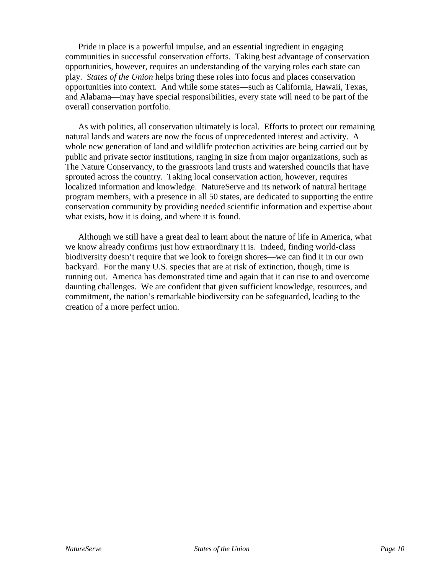Pride in place is a powerful impulse, and an essential ingredient in engaging communities in successful conservation efforts. Taking best advantage of conservation opportunities, however, requires an understanding of the varying roles each state can play. *States of the Union* helps bring these roles into focus and places conservation opportunities into context. And while some states—such as California, Hawaii, Texas, and Alabama—may have special responsibilities, every state will need to be part of the overall conservation portfolio.

As with politics, all conservation ultimately is local. Efforts to protect our remaining natural lands and waters are now the focus of unprecedented interest and activity. A whole new generation of land and wildlife protection activities are being carried out by public and private sector institutions, ranging in size from major organizations, such as The Nature Conservancy, to the grassroots land trusts and watershed councils that have sprouted across the country. Taking local conservation action, however, requires localized information and knowledge. NatureServe and its network of natural heritage program members, with a presence in all 50 states, are dedicated to supporting the entire conservation community by providing needed scientific information and expertise about what exists, how it is doing, and where it is found.

Although we still have a great deal to learn about the nature of life in America, what we know already confirms just how extraordinary it is. Indeed, finding world-class biodiversity doesn't require that we look to foreign shores—we can find it in our own backyard. For the many U.S. species that are at risk of extinction, though, time is running out. America has demonstrated time and again that it can rise to and overcome daunting challenges. We are confident that given sufficient knowledge, resources, and commitment, the nation's remarkable biodiversity can be safeguarded, leading to the creation of a more perfect union.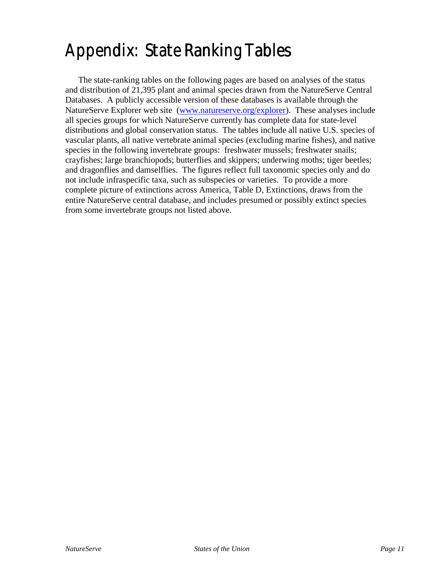## Appendix: State Ranking Tables

The state-ranking tables on the following pages are based on analyses of the status and distribution of 21,395 plant and animal species drawn from the NatureServe Central Databases. A publicly accessible version of these databases is available through the NatureServe Explorer web site (www.natureserve.org/explorer). These analyses include all species groups for which NatureServe currently has complete data for state-level distributions and global conservation status. The tables include all native U.S. species of vascular plants, all native vertebrate animal species (excluding marine fishes), and native species in the following invertebrate groups: freshwater mussels; freshwater snails; crayfishes; large branchiopods; butterflies and skippers; underwing moths; tiger beetles; and dragonflies and damselflies. The figures reflect full taxonomic species only and do not include infraspecific taxa, such as subspecies or varieties. To provide a more complete picture of extinctions across America, Table D, Extinctions, draws from the entire NatureServe central database, and includes presumed or possibly extinct species from some invertebrate groups not listed above.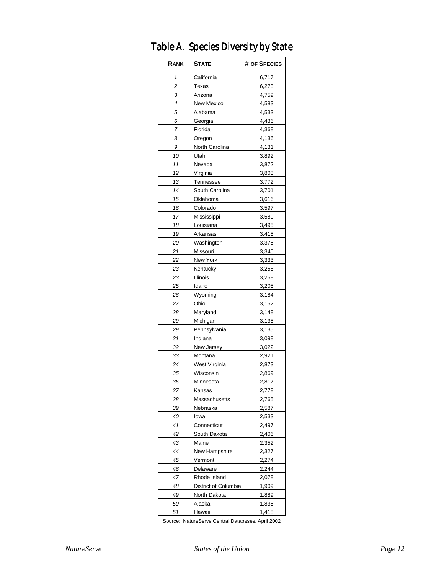| RANK | <b>STATE</b>         | # OF SPECIES |
|------|----------------------|--------------|
| 1    | California           | 6,717        |
| 2    | Texas                | 6,273        |
| 3    | Arizona              | 4,759        |
| 4    | New Mexico           | 4,583        |
| 5    | Alabama              | 4,533        |
| 6    | Georgia              | 4,436        |
| 7    | Florida              | 4,368        |
| 8    | Oregon               | 4,136        |
| 9    | North Carolina       | 4,131        |
| 10   | Utah                 | 3,892        |
| 11   | Nevada               | 3,872        |
| 12   | Virginia             | 3,803        |
| 13   | <b>Tennessee</b>     | 3,772        |
| 14   | South Carolina       | 3,701        |
| 15   | Oklahoma             | 3,616        |
| 16   | Colorado             | 3,597        |
| 17   | Mississippi          | 3,580        |
| 18   | Louisiana            | 3,495        |
| 19   | Arkansas             | 3,415        |
| 20   | Washington           | 3,375        |
| 21   | Missouri             | 3,340        |
| 22   | New York             | 3,333        |
| 23   | Kentucky             | 3,258        |
| 23   | Illinois             | 3,258        |
| 25   | Idaho                | 3,205        |
| 26   | Wyoming              | 3,184        |
| 27   | Ohio                 | 3,152        |
| 28   | Maryland             | 3,148        |
| 29   | Michigan             | 3,135        |
| 29   | Pennsylvania         | 3,135        |
| 31   | Indiana              | 3,098        |
| 32   | New Jersey           | 3,022        |
| 33   | Montana              | 2,921        |
| 34   | West Virginia        | 2,873        |
| 35   | Wisconsin            | 2,869        |
| 36   | Minnesota            | 2,817        |
| 37   | Kansas               | 2,778        |
| 38   | Massachusetts        | 2,765        |
| 39   | Nebraska             | 2,587        |
| 40   | lowa                 | 2,533        |
| 41   | Connecticut          | 2,497        |
| 42   | South Dakota         | 2,406        |
| 43   | Maine                | 2,352        |
| 44   | New Hampshire        | 2,327        |
| 45   | Vermont              | 2,274        |
| 46   | Delaware             | 2,244        |
| 47   | Rhode Island         | 2,078        |
| 48   | District of Columbia | 1,909        |
| 49   | North Dakota         | 1,889        |
| 50   | Alaska               | 1,835        |
| 51   | Hawaii               | 1,418        |

### Table A. Species Diversity by State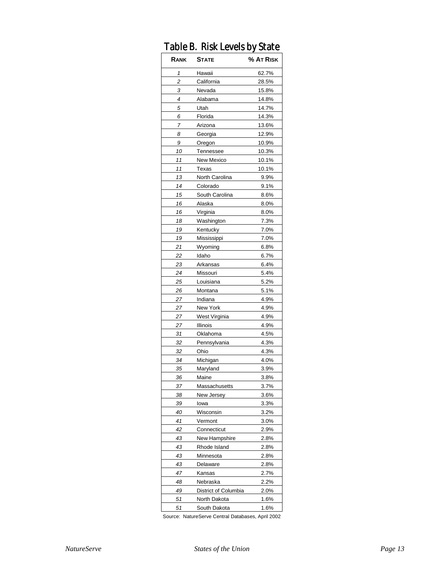| טועוו | υ.<br><b>INDIN LUVUD DY JIUIU</b> |           |
|-------|-----------------------------------|-----------|
| Rank  | <b>STATE</b>                      | % AT RISK |
| 1     | Hawaii                            | 62.7%     |
| 2     | California                        | 28.5%     |
| 3     | Nevada                            | 15.8%     |
| 4     | Alabama                           | 14.8%     |
| 5     | Utah                              | 14.7%     |
| 6     | Florida                           | 14.3%     |
| 7     | Arizona                           | 13.6%     |
| 8     | Georgia                           | 12.9%     |
| 9     | Oregon                            | 10.9%     |
| 10    | Tennessee                         | 10.3%     |
| 11    | New Mexico                        | 10.1%     |
| 11    | Texas                             | 10.1%     |
| 13    | North Carolina                    | 9.9%      |
| 14    | Colorado                          | 9.1%      |
| 15    | South Carolina                    | 8.6%      |
| 16    | Alaska                            | 8.0%      |
| 16    | Virginia                          | 8.0%      |
| 18    | Washington                        | 7.3%      |
| 19    | Kentucky                          | 7.0%      |
| 19    | Mississippi                       | 7.0%      |
| 21    | Wyoming                           | 6.8%      |
| 22    | Idaho                             | 6.7%      |
| 23    | Arkansas                          | 6.4%      |
| 24    | Missouri                          | 5.4%      |
| 25    | Louisiana                         | 5.2%      |
| 26    | Montana                           | 5.1%      |
| 27    | Indiana                           | 4.9%      |
| 27    | New York                          | 4.9%      |
| 27    | West Virginia                     | 4.9%      |
| 27    | Illinois                          | 4.9%      |
| 31    | Oklahoma                          | 4.5%      |
| 32    | Pennsylvania                      | 4.3%      |
| 32    | Ohio                              | 4.3%      |
| 34    | Michigan                          | 4.0%      |
| 35    | Maryland                          | 3.9%      |
| 36    | Maine                             | 3.8%      |
| 37    | Massachusetts                     | 3.7%      |
| 38    | New Jersey                        | 3.6%      |
| 39    | lowa                              | 3.3%      |
| 40    | Wisconsin                         | 3.2%      |
| 41    | Vermont                           | 3.0%      |
| 42    | Connecticut                       | 2.9%      |
| 43    | New Hampshire                     | 2.8%      |
| 43    | Rhode Island                      | 2.8%      |
| 43    | Minnesota                         | 2.8%      |
| 43    | Delaware                          | 2.8%      |
| 47    | Kansas                            | 2.7%      |
| 48    | Nebraska                          | 2.2%      |
| 49    | District of Columbia              | 2.0%      |
| 51    | North Dakota                      | 1.6%      |
| 51    | South Dakota                      | 1.6%      |

#### Table B. Risk Levels by State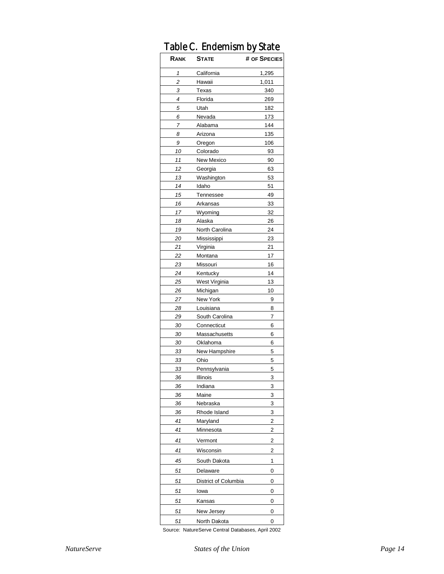|      | rable G. Endemism by State |              |
|------|----------------------------|--------------|
| RANK | <b>STATE</b>               | # OF SPECIES |
| 1    | California                 | 1,295        |
| 2    | Hawaii                     | 1,011        |
| 3    | Texas                      | 340          |
| 4    | Florida                    | 269          |
| 5    | Utah                       | 182          |
| 6    | Nevada                     | 173          |
| 7    | Alabama                    | 144          |
| 8    | Arizona                    | 135          |
| 9    | Oregon                     | 106          |
| 10   | Colorado                   | 93           |
| 11   | New Mexico                 | 90           |
| 12   | Georgia                    | 63           |
| 13   | Washington                 | 53           |
| 14   | Idaho                      | 51           |
| 15   | Tennessee                  | 49           |
| 16   | Arkansas                   | 33           |
| 17   | Wyoming                    | 32           |
| 18   | Alaska                     | 26           |
| 19   | North Carolina             | 24           |
| 20   | Mississippi                | 23           |
| 21   | Virginia                   | 21           |
| 22   | Montana                    | 17           |
| 23   | Missouri                   | 16           |
| 24   | Kentucky                   | 14           |
| 25   | West Virginia              | 13           |
| 26   | Michigan                   | 10           |
| 27   | New York                   | 9            |
| 28   | Louisiana                  | 8            |
| 29   | South Carolina             | 7            |
| 30   | Connecticut                | 6            |
| 30   | Massachusetts              | 6            |
| 30   | Oklahoma                   | 6            |
| 33   | New Hampshire              | 5            |
| 33   | Ohio                       | 5            |
| 33   | Pennsylvania               | 5            |
| 36   | Illinois                   | 3            |
| 36   | Indiana                    | 3            |
| 36   | Maine                      | 3            |
| 36   | Nebraska                   | 3            |
| 36   | Rhode Island               | 3            |
| 41   | Maryland                   | 2            |
| 41   | Minnesota                  | 2            |
| 41   | Vermont                    | 2            |
| 41   | Wisconsin                  | 2            |
| 45   | South Dakota               | 1            |
| 51   | Delaware                   | 0            |
| 51   | District of Columbia       | 0            |
| 51   | lowa                       | 0            |
| 51   | Kansas                     | 0            |
| 51   | New Jersey                 | 0            |
| 51   | North Dakota               | 0            |

#### Table C. Endemism by State Table C. Endemism

Source: NatureServe Central Databases, April 2002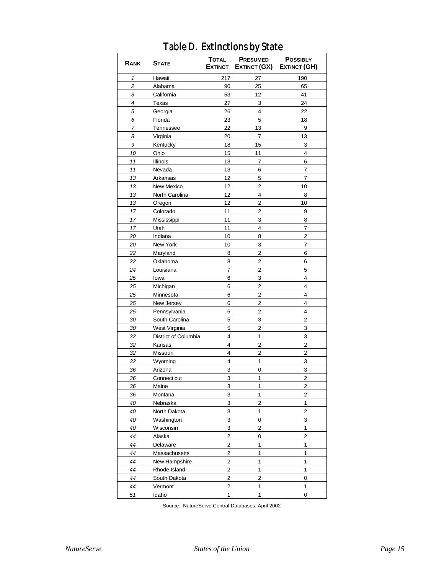| Hawaii<br>217<br>27<br>190<br>1<br>$\overline{\mathbf{c}}$<br>90<br>25<br>65<br>Alabama<br>3<br>California<br>53<br>12<br>41<br>4<br>27<br>3<br>24<br>Texas<br>5<br>22<br>Georgia<br>26<br>4<br>6<br>Florida<br>23<br>5<br>18<br>7<br>Tennessee<br>22<br>13<br>9<br>13<br>8<br>20<br>7<br>Virginia<br>9<br>15<br>3<br>Kentucky<br>18<br>10<br>11<br>4<br>Ohio<br>15<br>11<br>Illinois<br>13<br>6<br>7<br>11<br>13<br>Nevada<br>6<br>7<br>12<br>13<br>7<br>Arkansas<br>5<br>13<br>12<br>$\overline{2}$<br>10<br>New Mexico<br>12<br>4<br>13<br>North Carolina<br>8<br>12<br>13<br>$\overline{\mathbf{c}}$<br>10<br>Oregon<br>11<br>$\overline{2}$<br>17<br>9<br>Colorado<br>3<br>17<br>11<br>8<br>Mississippi<br>17<br>Utah<br>11<br>4<br>7<br>$\overline{2}$<br>20<br>Indiana<br>10<br>8<br>20<br>New York<br>10<br>3<br>7<br>22<br>Maryland<br>2<br>6<br>8<br>$\overline{\mathbf{c}}$<br>22<br>8<br>6<br>Oklahoma<br>$\overline{2}$<br>24<br>7<br>5<br>Louisiana<br>6<br>3<br>4<br>25<br>lowa<br>6<br>$\overline{2}$<br>$\overline{4}$<br>25<br>Michigan<br>$\overline{2}$<br>25<br>6<br>4<br>Minnesota<br>6<br>$\overline{\mathbf{c}}$<br>4<br>25<br>New Jersey<br>25<br>6<br>$\overline{2}$<br>Pennsylvania<br>4<br>30<br>South Carolina<br>5<br>3<br>$\overline{2}$<br>30<br>West Virginia<br>5<br>2<br>3<br>1<br>3<br>32<br>District of Columbia<br>4<br>$\overline{\mathbf{c}}$<br>32<br>4<br>$\overline{\mathbf{c}}$<br>Kansas<br>32<br>2<br>$\overline{\mathbf{c}}$<br>Missouri<br>4<br>4<br>3<br>32<br>Wyoming<br>1<br>3<br>3<br>36<br>0<br>Arizona<br>$\overline{\mathbf{c}}$<br>36<br>3<br>Connecticut<br>1<br>1<br>$\overline{2}$<br>3<br>36<br>Maine<br>3<br>$\mathbf{1}$<br>$\overline{\mathbf{c}}$<br>36<br>Montana<br>3<br>2<br>1<br>40<br>Nebraska<br>3<br>$\mathbf{1}$<br>$\overline{2}$<br>40<br>North Dakota<br>3<br>3<br>40<br>Washington<br>0<br>40<br>Wisconsin<br>3<br>2<br>1<br>$\overline{\mathbf{c}}$<br>$\overline{\mathbf{c}}$<br>44<br>Alaska<br>0<br>$\overline{\mathbf{c}}$<br>44<br>1<br>1<br>Delaware<br>2<br>1<br>1<br>44<br>Massachusetts<br>$\overline{\mathbf{c}}$<br>1<br>1<br>44<br>New Hampshire | RANK | <b>STATE</b> | <b>TOTAL</b><br><b>EXTINCT</b> | <b>PRESUMED</b><br>EXTINCT (GX) | <b>POSSIBLY</b><br>EXTINCT (GH) |
|-------------------------------------------------------------------------------------------------------------------------------------------------------------------------------------------------------------------------------------------------------------------------------------------------------------------------------------------------------------------------------------------------------------------------------------------------------------------------------------------------------------------------------------------------------------------------------------------------------------------------------------------------------------------------------------------------------------------------------------------------------------------------------------------------------------------------------------------------------------------------------------------------------------------------------------------------------------------------------------------------------------------------------------------------------------------------------------------------------------------------------------------------------------------------------------------------------------------------------------------------------------------------------------------------------------------------------------------------------------------------------------------------------------------------------------------------------------------------------------------------------------------------------------------------------------------------------------------------------------------------------------------------------------------------------------------------------------------------------------------------------------------------------------------------------------------------------------------------------------------------------------------------------------------------------------------------------------------------------------------------------------------------------------------------------------------------------------------------------------------------------------------|------|--------------|--------------------------------|---------------------------------|---------------------------------|
|                                                                                                                                                                                                                                                                                                                                                                                                                                                                                                                                                                                                                                                                                                                                                                                                                                                                                                                                                                                                                                                                                                                                                                                                                                                                                                                                                                                                                                                                                                                                                                                                                                                                                                                                                                                                                                                                                                                                                                                                                                                                                                                                           |      |              |                                |                                 |                                 |
|                                                                                                                                                                                                                                                                                                                                                                                                                                                                                                                                                                                                                                                                                                                                                                                                                                                                                                                                                                                                                                                                                                                                                                                                                                                                                                                                                                                                                                                                                                                                                                                                                                                                                                                                                                                                                                                                                                                                                                                                                                                                                                                                           |      |              |                                |                                 |                                 |
|                                                                                                                                                                                                                                                                                                                                                                                                                                                                                                                                                                                                                                                                                                                                                                                                                                                                                                                                                                                                                                                                                                                                                                                                                                                                                                                                                                                                                                                                                                                                                                                                                                                                                                                                                                                                                                                                                                                                                                                                                                                                                                                                           |      |              |                                |                                 |                                 |
|                                                                                                                                                                                                                                                                                                                                                                                                                                                                                                                                                                                                                                                                                                                                                                                                                                                                                                                                                                                                                                                                                                                                                                                                                                                                                                                                                                                                                                                                                                                                                                                                                                                                                                                                                                                                                                                                                                                                                                                                                                                                                                                                           |      |              |                                |                                 |                                 |
|                                                                                                                                                                                                                                                                                                                                                                                                                                                                                                                                                                                                                                                                                                                                                                                                                                                                                                                                                                                                                                                                                                                                                                                                                                                                                                                                                                                                                                                                                                                                                                                                                                                                                                                                                                                                                                                                                                                                                                                                                                                                                                                                           |      |              |                                |                                 |                                 |
|                                                                                                                                                                                                                                                                                                                                                                                                                                                                                                                                                                                                                                                                                                                                                                                                                                                                                                                                                                                                                                                                                                                                                                                                                                                                                                                                                                                                                                                                                                                                                                                                                                                                                                                                                                                                                                                                                                                                                                                                                                                                                                                                           |      |              |                                |                                 |                                 |
|                                                                                                                                                                                                                                                                                                                                                                                                                                                                                                                                                                                                                                                                                                                                                                                                                                                                                                                                                                                                                                                                                                                                                                                                                                                                                                                                                                                                                                                                                                                                                                                                                                                                                                                                                                                                                                                                                                                                                                                                                                                                                                                                           |      |              |                                |                                 |                                 |
|                                                                                                                                                                                                                                                                                                                                                                                                                                                                                                                                                                                                                                                                                                                                                                                                                                                                                                                                                                                                                                                                                                                                                                                                                                                                                                                                                                                                                                                                                                                                                                                                                                                                                                                                                                                                                                                                                                                                                                                                                                                                                                                                           |      |              |                                |                                 |                                 |
|                                                                                                                                                                                                                                                                                                                                                                                                                                                                                                                                                                                                                                                                                                                                                                                                                                                                                                                                                                                                                                                                                                                                                                                                                                                                                                                                                                                                                                                                                                                                                                                                                                                                                                                                                                                                                                                                                                                                                                                                                                                                                                                                           |      |              |                                |                                 |                                 |
|                                                                                                                                                                                                                                                                                                                                                                                                                                                                                                                                                                                                                                                                                                                                                                                                                                                                                                                                                                                                                                                                                                                                                                                                                                                                                                                                                                                                                                                                                                                                                                                                                                                                                                                                                                                                                                                                                                                                                                                                                                                                                                                                           |      |              |                                |                                 |                                 |
|                                                                                                                                                                                                                                                                                                                                                                                                                                                                                                                                                                                                                                                                                                                                                                                                                                                                                                                                                                                                                                                                                                                                                                                                                                                                                                                                                                                                                                                                                                                                                                                                                                                                                                                                                                                                                                                                                                                                                                                                                                                                                                                                           |      |              |                                |                                 |                                 |
|                                                                                                                                                                                                                                                                                                                                                                                                                                                                                                                                                                                                                                                                                                                                                                                                                                                                                                                                                                                                                                                                                                                                                                                                                                                                                                                                                                                                                                                                                                                                                                                                                                                                                                                                                                                                                                                                                                                                                                                                                                                                                                                                           |      |              |                                |                                 |                                 |
|                                                                                                                                                                                                                                                                                                                                                                                                                                                                                                                                                                                                                                                                                                                                                                                                                                                                                                                                                                                                                                                                                                                                                                                                                                                                                                                                                                                                                                                                                                                                                                                                                                                                                                                                                                                                                                                                                                                                                                                                                                                                                                                                           |      |              |                                |                                 |                                 |
|                                                                                                                                                                                                                                                                                                                                                                                                                                                                                                                                                                                                                                                                                                                                                                                                                                                                                                                                                                                                                                                                                                                                                                                                                                                                                                                                                                                                                                                                                                                                                                                                                                                                                                                                                                                                                                                                                                                                                                                                                                                                                                                                           |      |              |                                |                                 |                                 |
|                                                                                                                                                                                                                                                                                                                                                                                                                                                                                                                                                                                                                                                                                                                                                                                                                                                                                                                                                                                                                                                                                                                                                                                                                                                                                                                                                                                                                                                                                                                                                                                                                                                                                                                                                                                                                                                                                                                                                                                                                                                                                                                                           |      |              |                                |                                 |                                 |
|                                                                                                                                                                                                                                                                                                                                                                                                                                                                                                                                                                                                                                                                                                                                                                                                                                                                                                                                                                                                                                                                                                                                                                                                                                                                                                                                                                                                                                                                                                                                                                                                                                                                                                                                                                                                                                                                                                                                                                                                                                                                                                                                           |      |              |                                |                                 |                                 |
|                                                                                                                                                                                                                                                                                                                                                                                                                                                                                                                                                                                                                                                                                                                                                                                                                                                                                                                                                                                                                                                                                                                                                                                                                                                                                                                                                                                                                                                                                                                                                                                                                                                                                                                                                                                                                                                                                                                                                                                                                                                                                                                                           |      |              |                                |                                 |                                 |
|                                                                                                                                                                                                                                                                                                                                                                                                                                                                                                                                                                                                                                                                                                                                                                                                                                                                                                                                                                                                                                                                                                                                                                                                                                                                                                                                                                                                                                                                                                                                                                                                                                                                                                                                                                                                                                                                                                                                                                                                                                                                                                                                           |      |              |                                |                                 |                                 |
|                                                                                                                                                                                                                                                                                                                                                                                                                                                                                                                                                                                                                                                                                                                                                                                                                                                                                                                                                                                                                                                                                                                                                                                                                                                                                                                                                                                                                                                                                                                                                                                                                                                                                                                                                                                                                                                                                                                                                                                                                                                                                                                                           |      |              |                                |                                 |                                 |
|                                                                                                                                                                                                                                                                                                                                                                                                                                                                                                                                                                                                                                                                                                                                                                                                                                                                                                                                                                                                                                                                                                                                                                                                                                                                                                                                                                                                                                                                                                                                                                                                                                                                                                                                                                                                                                                                                                                                                                                                                                                                                                                                           |      |              |                                |                                 |                                 |
|                                                                                                                                                                                                                                                                                                                                                                                                                                                                                                                                                                                                                                                                                                                                                                                                                                                                                                                                                                                                                                                                                                                                                                                                                                                                                                                                                                                                                                                                                                                                                                                                                                                                                                                                                                                                                                                                                                                                                                                                                                                                                                                                           |      |              |                                |                                 |                                 |
|                                                                                                                                                                                                                                                                                                                                                                                                                                                                                                                                                                                                                                                                                                                                                                                                                                                                                                                                                                                                                                                                                                                                                                                                                                                                                                                                                                                                                                                                                                                                                                                                                                                                                                                                                                                                                                                                                                                                                                                                                                                                                                                                           |      |              |                                |                                 |                                 |
|                                                                                                                                                                                                                                                                                                                                                                                                                                                                                                                                                                                                                                                                                                                                                                                                                                                                                                                                                                                                                                                                                                                                                                                                                                                                                                                                                                                                                                                                                                                                                                                                                                                                                                                                                                                                                                                                                                                                                                                                                                                                                                                                           |      |              |                                |                                 |                                 |
|                                                                                                                                                                                                                                                                                                                                                                                                                                                                                                                                                                                                                                                                                                                                                                                                                                                                                                                                                                                                                                                                                                                                                                                                                                                                                                                                                                                                                                                                                                                                                                                                                                                                                                                                                                                                                                                                                                                                                                                                                                                                                                                                           |      |              |                                |                                 |                                 |
|                                                                                                                                                                                                                                                                                                                                                                                                                                                                                                                                                                                                                                                                                                                                                                                                                                                                                                                                                                                                                                                                                                                                                                                                                                                                                                                                                                                                                                                                                                                                                                                                                                                                                                                                                                                                                                                                                                                                                                                                                                                                                                                                           |      |              |                                |                                 |                                 |
|                                                                                                                                                                                                                                                                                                                                                                                                                                                                                                                                                                                                                                                                                                                                                                                                                                                                                                                                                                                                                                                                                                                                                                                                                                                                                                                                                                                                                                                                                                                                                                                                                                                                                                                                                                                                                                                                                                                                                                                                                                                                                                                                           |      |              |                                |                                 |                                 |
|                                                                                                                                                                                                                                                                                                                                                                                                                                                                                                                                                                                                                                                                                                                                                                                                                                                                                                                                                                                                                                                                                                                                                                                                                                                                                                                                                                                                                                                                                                                                                                                                                                                                                                                                                                                                                                                                                                                                                                                                                                                                                                                                           |      |              |                                |                                 |                                 |
|                                                                                                                                                                                                                                                                                                                                                                                                                                                                                                                                                                                                                                                                                                                                                                                                                                                                                                                                                                                                                                                                                                                                                                                                                                                                                                                                                                                                                                                                                                                                                                                                                                                                                                                                                                                                                                                                                                                                                                                                                                                                                                                                           |      |              |                                |                                 |                                 |
|                                                                                                                                                                                                                                                                                                                                                                                                                                                                                                                                                                                                                                                                                                                                                                                                                                                                                                                                                                                                                                                                                                                                                                                                                                                                                                                                                                                                                                                                                                                                                                                                                                                                                                                                                                                                                                                                                                                                                                                                                                                                                                                                           |      |              |                                |                                 |                                 |
|                                                                                                                                                                                                                                                                                                                                                                                                                                                                                                                                                                                                                                                                                                                                                                                                                                                                                                                                                                                                                                                                                                                                                                                                                                                                                                                                                                                                                                                                                                                                                                                                                                                                                                                                                                                                                                                                                                                                                                                                                                                                                                                                           |      |              |                                |                                 |                                 |
|                                                                                                                                                                                                                                                                                                                                                                                                                                                                                                                                                                                                                                                                                                                                                                                                                                                                                                                                                                                                                                                                                                                                                                                                                                                                                                                                                                                                                                                                                                                                                                                                                                                                                                                                                                                                                                                                                                                                                                                                                                                                                                                                           |      |              |                                |                                 |                                 |
|                                                                                                                                                                                                                                                                                                                                                                                                                                                                                                                                                                                                                                                                                                                                                                                                                                                                                                                                                                                                                                                                                                                                                                                                                                                                                                                                                                                                                                                                                                                                                                                                                                                                                                                                                                                                                                                                                                                                                                                                                                                                                                                                           |      |              |                                |                                 |                                 |
|                                                                                                                                                                                                                                                                                                                                                                                                                                                                                                                                                                                                                                                                                                                                                                                                                                                                                                                                                                                                                                                                                                                                                                                                                                                                                                                                                                                                                                                                                                                                                                                                                                                                                                                                                                                                                                                                                                                                                                                                                                                                                                                                           |      |              |                                |                                 |                                 |
|                                                                                                                                                                                                                                                                                                                                                                                                                                                                                                                                                                                                                                                                                                                                                                                                                                                                                                                                                                                                                                                                                                                                                                                                                                                                                                                                                                                                                                                                                                                                                                                                                                                                                                                                                                                                                                                                                                                                                                                                                                                                                                                                           |      |              |                                |                                 |                                 |
|                                                                                                                                                                                                                                                                                                                                                                                                                                                                                                                                                                                                                                                                                                                                                                                                                                                                                                                                                                                                                                                                                                                                                                                                                                                                                                                                                                                                                                                                                                                                                                                                                                                                                                                                                                                                                                                                                                                                                                                                                                                                                                                                           |      |              |                                |                                 |                                 |
|                                                                                                                                                                                                                                                                                                                                                                                                                                                                                                                                                                                                                                                                                                                                                                                                                                                                                                                                                                                                                                                                                                                                                                                                                                                                                                                                                                                                                                                                                                                                                                                                                                                                                                                                                                                                                                                                                                                                                                                                                                                                                                                                           |      |              |                                |                                 |                                 |
|                                                                                                                                                                                                                                                                                                                                                                                                                                                                                                                                                                                                                                                                                                                                                                                                                                                                                                                                                                                                                                                                                                                                                                                                                                                                                                                                                                                                                                                                                                                                                                                                                                                                                                                                                                                                                                                                                                                                                                                                                                                                                                                                           |      |              |                                |                                 |                                 |
|                                                                                                                                                                                                                                                                                                                                                                                                                                                                                                                                                                                                                                                                                                                                                                                                                                                                                                                                                                                                                                                                                                                                                                                                                                                                                                                                                                                                                                                                                                                                                                                                                                                                                                                                                                                                                                                                                                                                                                                                                                                                                                                                           |      |              |                                |                                 |                                 |
|                                                                                                                                                                                                                                                                                                                                                                                                                                                                                                                                                                                                                                                                                                                                                                                                                                                                                                                                                                                                                                                                                                                                                                                                                                                                                                                                                                                                                                                                                                                                                                                                                                                                                                                                                                                                                                                                                                                                                                                                                                                                                                                                           |      |              |                                |                                 |                                 |
|                                                                                                                                                                                                                                                                                                                                                                                                                                                                                                                                                                                                                                                                                                                                                                                                                                                                                                                                                                                                                                                                                                                                                                                                                                                                                                                                                                                                                                                                                                                                                                                                                                                                                                                                                                                                                                                                                                                                                                                                                                                                                                                                           |      |              |                                |                                 |                                 |
|                                                                                                                                                                                                                                                                                                                                                                                                                                                                                                                                                                                                                                                                                                                                                                                                                                                                                                                                                                                                                                                                                                                                                                                                                                                                                                                                                                                                                                                                                                                                                                                                                                                                                                                                                                                                                                                                                                                                                                                                                                                                                                                                           |      |              |                                |                                 |                                 |
|                                                                                                                                                                                                                                                                                                                                                                                                                                                                                                                                                                                                                                                                                                                                                                                                                                                                                                                                                                                                                                                                                                                                                                                                                                                                                                                                                                                                                                                                                                                                                                                                                                                                                                                                                                                                                                                                                                                                                                                                                                                                                                                                           |      |              |                                |                                 |                                 |
|                                                                                                                                                                                                                                                                                                                                                                                                                                                                                                                                                                                                                                                                                                                                                                                                                                                                                                                                                                                                                                                                                                                                                                                                                                                                                                                                                                                                                                                                                                                                                                                                                                                                                                                                                                                                                                                                                                                                                                                                                                                                                                                                           |      |              |                                |                                 |                                 |
|                                                                                                                                                                                                                                                                                                                                                                                                                                                                                                                                                                                                                                                                                                                                                                                                                                                                                                                                                                                                                                                                                                                                                                                                                                                                                                                                                                                                                                                                                                                                                                                                                                                                                                                                                                                                                                                                                                                                                                                                                                                                                                                                           |      |              |                                |                                 |                                 |
|                                                                                                                                                                                                                                                                                                                                                                                                                                                                                                                                                                                                                                                                                                                                                                                                                                                                                                                                                                                                                                                                                                                                                                                                                                                                                                                                                                                                                                                                                                                                                                                                                                                                                                                                                                                                                                                                                                                                                                                                                                                                                                                                           |      |              |                                |                                 |                                 |
|                                                                                                                                                                                                                                                                                                                                                                                                                                                                                                                                                                                                                                                                                                                                                                                                                                                                                                                                                                                                                                                                                                                                                                                                                                                                                                                                                                                                                                                                                                                                                                                                                                                                                                                                                                                                                                                                                                                                                                                                                                                                                                                                           |      |              |                                |                                 |                                 |
|                                                                                                                                                                                                                                                                                                                                                                                                                                                                                                                                                                                                                                                                                                                                                                                                                                                                                                                                                                                                                                                                                                                                                                                                                                                                                                                                                                                                                                                                                                                                                                                                                                                                                                                                                                                                                                                                                                                                                                                                                                                                                                                                           |      |              |                                |                                 |                                 |
| $\overline{\mathbf{c}}$<br>44<br>1<br>1<br>Rhode Island                                                                                                                                                                                                                                                                                                                                                                                                                                                                                                                                                                                                                                                                                                                                                                                                                                                                                                                                                                                                                                                                                                                                                                                                                                                                                                                                                                                                                                                                                                                                                                                                                                                                                                                                                                                                                                                                                                                                                                                                                                                                                   |      |              |                                |                                 |                                 |
| $\overline{\mathbf{c}}$<br>2<br>44<br>South Dakota<br>0                                                                                                                                                                                                                                                                                                                                                                                                                                                                                                                                                                                                                                                                                                                                                                                                                                                                                                                                                                                                                                                                                                                                                                                                                                                                                                                                                                                                                                                                                                                                                                                                                                                                                                                                                                                                                                                                                                                                                                                                                                                                                   |      |              |                                |                                 |                                 |
| $\overline{c}$<br>1<br>44<br>Vermont<br>1                                                                                                                                                                                                                                                                                                                                                                                                                                                                                                                                                                                                                                                                                                                                                                                                                                                                                                                                                                                                                                                                                                                                                                                                                                                                                                                                                                                                                                                                                                                                                                                                                                                                                                                                                                                                                                                                                                                                                                                                                                                                                                 |      |              |                                |                                 |                                 |
| $\mathbf{1}$<br>$\mathbf{1}$<br>51<br>0<br>Idaho                                                                                                                                                                                                                                                                                                                                                                                                                                                                                                                                                                                                                                                                                                                                                                                                                                                                                                                                                                                                                                                                                                                                                                                                                                                                                                                                                                                                                                                                                                                                                                                                                                                                                                                                                                                                                                                                                                                                                                                                                                                                                          |      |              |                                |                                 |                                 |

### Table D. Extinctions by State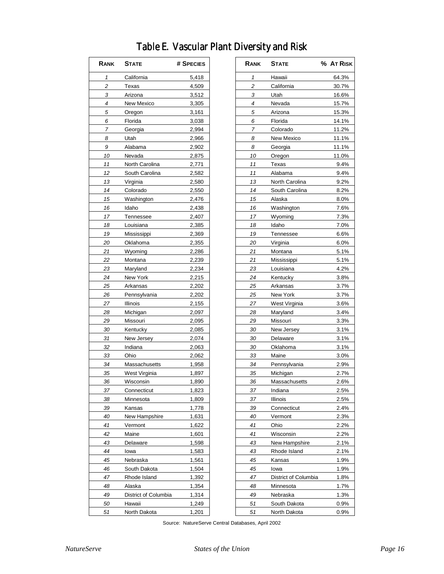| Rank           | <b>STATE</b>         | # SPECIES      |
|----------------|----------------------|----------------|
| 1              | California           | 5,418          |
| $\overline{c}$ | Texas                | 4,509          |
| 3              | Arizona              | 3,512          |
| 4              | New Mexico           | 3,305          |
| 5              | Oregon               | 3,161          |
| 6              | Florida              | 3,038          |
| 7              | Georgia              | 2,994          |
| 8              | Utah                 | 2,966          |
| 9              | Alabama              | 2,902          |
| 10             | Nevada               | 2,875          |
| 11             | North Carolina       | 2,771          |
| 12             | South Carolina       | 2,582          |
| 13             | Virginia             | 2,580          |
| 14             | Colorado             | 2,550          |
| 15             | Washington           | 2,476          |
| 16             | Idaho                | 2,438          |
| 17             | Tennessee            | 2,407          |
| 18             | Louisiana            | 2,385          |
| 19             | Mississippi          | 2,369          |
| 20             | Oklahoma             | 2,355          |
| 21             | Wyoming              | 2,286          |
| 22             | Montana              | 2,239          |
| 23             | Maryland             | 2,234          |
| 24             | New York             | 2,215          |
| 25             | Arkansas             | 2,202          |
| 26             | Pennsylvania         | 2,202          |
| 27             | Illinois             | 2,155          |
| 28             | Michigan             | 2,097          |
| 29             | Missouri             | 2,095          |
| 30             | Kentucky             | 2,085          |
| 31             | New Jersey           | 2,074          |
| 32             | Indiana              | 2,063          |
| 33             | Ohio                 | 2,062          |
| 34             | Massachusetts        | 1,958          |
|                | West Virginia        |                |
| 35<br>36       | Wisconsin            | 1,897<br>1,890 |
|                |                      |                |
| 37             | Connecticut          | 1,823<br>1,809 |
| 38             | Minnesota            |                |
| 39             | Kansas               | 1,778          |
| 40             | New Hampshire        | 1,631          |
| 41             | Vermont              | 1,622          |
| 42             | Maine                | 1,601          |
| 43             | Delaware             | 1,598          |
| 44             | Iowa                 | 1,583          |
| 45             | Nebraska             | 1,561          |
| 46             | South Dakota         | 1,504          |
| 47             | Rhode Island         | 1,392          |
| 48             | Alaska               | 1,354          |
| 49             | District of Columbia | 1,314          |
| 50             | Hawaii               | 1,249          |
| 51             | North Dakota         | 1,201          |

| RANK | <b>S</b> TATE        | # SPECIES      | RANK         | <b>STATE</b>             | % AT RISK |
|------|----------------------|----------------|--------------|--------------------------|-----------|
| 1    | California           | 5,418          | $\mathbf{1}$ | Hawaii                   | 64.3%     |
| 2    | Texas                | 4,509          | 2            | California               | 30.7%     |
| 3    | Arizona              | 3,512          | 3            | Utah                     | 16.6%     |
| 4    | New Mexico           | 3,305          | 4            | Nevada                   | 15.7%     |
| 5    | Oregon               | 3,161          | 5            | Arizona                  | 15.3%     |
| 6    | Florida              | 3,038          | 6            | Florida                  | 14.1%     |
| 7    | Georgia              | 2,994          | 7            | Colorado                 | 11.2%     |
| 8    | Utah                 | 2,966          | 8            | New Mexico               | 11.1%     |
| 9    | Alabama              | 2,902          | 8            | Georgia                  | 11.1%     |
| 10   | Nevada               | 2,875          | 10           | Oregon                   | 11.0%     |
| 11   | North Carolina       | 2,771          | 11           | Texas                    | 9.4%      |
| 12   | South Carolina       | 2,582          | 11           | Alabama                  | 9.4%      |
| 13   | Virginia             | 2,580          | 13           | North Carolina           | 9.2%      |
| 14   | Colorado             | 2,550          | 14           | South Carolina           | 8.2%      |
| 15   | Washington           | 2,476          | 15           | Alaska                   | 8.0%      |
| 16   | Idaho                | 2,438          | 16           | Washington               | 7.6%      |
| 17   | Tennessee            | 2,407          | 17           | Wyoming                  | 7.3%      |
| 18   | Louisiana            | 2,385          | 18           | Idaho                    | 7.0%      |
| 19   | Mississippi          | 2,369          | 19           | Tennessee                | 6.6%      |
| 20   | Oklahoma             | 2,355          | 20           | Virginia                 | 6.0%      |
| 21   | Wyoming              | 2,286          | 21           | Montana                  | 5.1%      |
| 22   | Montana              | 2,239          | 21           | Mississippi              | 5.1%      |
| 23   | Maryland             | 2,234          | 23           | Louisiana                | 4.2%      |
| 24   | New York             | 2,215          | 24           | Kentucky                 | 3.8%      |
| 25   | Arkansas             | 2,202          | 25           | Arkansas                 | 3.7%      |
| 26   | Pennsylvania         | 2,202          | 25           | New York                 | 3.7%      |
| 27   | Illinois             | 2,155          | 27           | West Virginia            | 3.6%      |
| 28   | Michigan             | 2,097          | 28           | Maryland                 | 3.4%      |
| 29   | Missouri             | 2,095          | 29           | Missouri                 | 3.3%      |
| 30   | Kentucky             | 2,085          | 30           | New Jersey               | 3.1%      |
| 31   | New Jersey           | 2,074          | 30           | Delaware                 | 3.1%      |
| 32   | Indiana              | 2,063          | 30           | Oklahoma                 | 3.1%      |
| 33   | Ohio                 | 2,062          | 33           | Maine                    | 3.0%      |
| 34   | Massachusetts        | 1,958          | 34           | Pennsylvania             | 2.9%      |
| 35   | West Virginia        | 1,897          | 35           | Michigan                 | 2.7%      |
| 36   | Wisconsin            | 1,890          | 36           | Massachusetts            | 2.6%      |
| 37   | Connecticut          | 1,823          | 37           | Indiana                  | 2.5%      |
| 38   | Minnesota            | 1,809          | 37           | Illinois                 | 2.5%      |
| 39   | Kansas               | 1,778          | 39           | Connecticut              | 2.4%      |
| 40   | New Hampshire        | 1,631          | 40           | Vermont                  | 2.3%      |
| 41   | Vermont              | 1,622          | 41           | Ohio                     | 2.2%      |
| 42   | Maine                | 1,601          | 41           | Wisconsin                | 2.2%      |
| 43   | Delaware             | 1,598          | 43           | New Hampshire            | 2.1%      |
| 44   | Iowa                 | 1,583          | 43           | Rhode Island             | 2.1%      |
| 45   | Nebraska             | 1,561          | 45           | Kansas                   | 1.9%      |
| 46   | South Dakota         | 1,504          | 45           | lowa                     | 1.9%      |
| 47   | Rhode Island         | 1,392          | 47           | District of Columbia     | 1.8%      |
| 48   | Alaska               | 1,354          | 48           | Minnesota                | 1.7%      |
| 49   | District of Columbia |                | 49           |                          | 1.3%      |
| 50   |                      | 1,314<br>1,249 | 51           | Nebraska<br>South Dakota | 0.9%      |
|      | Hawaii               |                |              |                          |           |
| 51   | North Dakota         | 1,201          | 51           | North Dakota             | 0.9%      |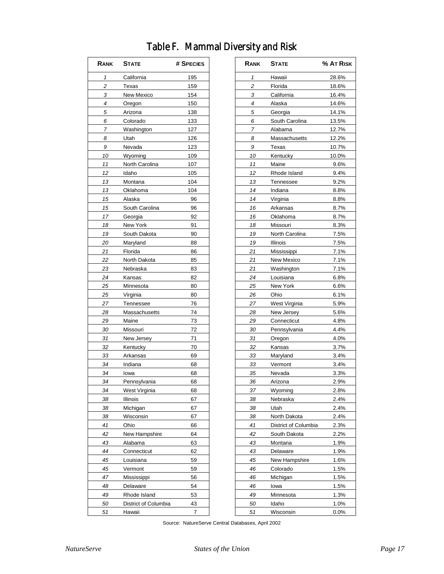| RANK           | <b>STATE</b>         | # SPECIES      | RANK           | <b>STATE</b>         | % AT RIS |
|----------------|----------------------|----------------|----------------|----------------------|----------|
| $\mathbf{1}$   | California           | 195            | $\mathbf{1}$   | Hawaii               | 28.6%    |
| $\overline{c}$ | Texas                | 159            | $\overline{c}$ | Florida              | 18.6%    |
| 3              | New Mexico           | 154            | 3              | California           | 16.4%    |
| 4              | Oregon               | 150            | 4              | Alaska               | 14.6%    |
| 5              | Arizona              | 138            | 5              | Georgia              | 14.1%    |
| 6              | Colorado             | 133            | 6              | South Carolina       | 13.5%    |
| 7              | Washington           | 127            | 7              | Alabama              | 12.7%    |
| 8              | Utah                 | 126            | 8              | Massachusetts        | 12.2%    |
| 9              | Nevada               | 123            | 9              | Texas                | 10.7%    |
| 10             | Wyoming              | 109            | 10             | Kentucky             | 10.0%    |
| 11             | North Carolina       | 107            | 11             | Maine                | 9.6%     |
| 12             | Idaho                | 105            | 12             | Rhode Island         | 9.4%     |
| 13             | Montana              | 104            | 13             | Tennessee            | 9.2%     |
| 13             | Oklahoma             | 104            | 14             | Indiana              | 8.8%     |
| 15             | Alaska               | 96             | 14             | Virginia             | 8.8%     |
| 15             | South Carolina       | 96             | 16             | Arkansas             | 8.7%     |
| 17             | Georgia              | 92             | 16             | Oklahoma             | 8.7%     |
| 18             | New York             | 91             | 18             | Missouri             | 8.3%     |
| 19             | South Dakota         | 90             | 19             | North Carolina       | 7.5%     |
| 20             | Maryland             | 88             | 19             | Illinois             | 7.5%     |
| 21             | Florida              | 86             | 21             | Mississippi          | 7.1%     |
| 22             | North Dakota         | 85             | 21             | New Mexico           | 7.1%     |
| 23             | Nebraska             | 83             | 21             | Washington           | 7.1%     |
| 24             |                      | 82             | 24             | Louisiana            | 6.8%     |
|                | Kansas               |                |                |                      |          |
| 25             | Minnesota            | 80             | 25             | New York             | 6.6%     |
| 25             | Virginia             | 80             | 26             | Ohio                 | 6.1%     |
| 27             | Tennessee            | 76             | 27             | West Virginia        | 5.9%     |
| 28             | Massachusetts        | 74             | 28             | New Jersey           | 5.6%     |
| 29             | Maine                | 73             | 29             | Connecticut          | 4.8%     |
| 30             | Missouri             | 72             | 30             | Pennsylvania         | 4.4%     |
| 31             | New Jersey           | 71             | 31             | Oregon               | 4.0%     |
| 32             | Kentucky             | 70             | 32             | Kansas               | 3.7%     |
| 33             | Arkansas             | 69             | 33             | Maryland             | 3.4%     |
| 34             | Indiana              | 68             | 33             | Vermont              | 3.4%     |
| 34             | lowa                 | 68             | 35             | Nevada               | 3.3%     |
| 34             | Pennsylvania         | 68             | 36             | Arizona              | 2.9%     |
| 34             | West Virginia        | 68             | 37             | Wyoming              | 2.8%     |
| 38             | Illinois             | 67             | 38             | Nebraska             | 2.4%     |
| 38             | Michigan             | 67             | 38             | Utah                 | 2.4%     |
| 38             | Wisconsin            | 67             | 38             | North Dakota         | 2.4%     |
| 41             | Ohio                 | 66             | 41             | District of Columbia | 2.3%     |
| 42             | New Hampshire        | 64             | 42             | South Dakota         | 2.2%     |
| 43             | Alabama              | 63             | 43             | Montana              | 1.9%     |
| 44             | Connecticut          | 62             | 43             | Delaware             | 1.9%     |
| 45             | Louisiana            | 59             | 45             | New Hampshire        | 1.6%     |
| 45             | Vermont              | 59             | 46             | Colorado             | 1.5%     |
| 47             | Mississippi          | 56             | 46             | Michigan             | 1.5%     |
| 48             | Delaware             | 54             | 46             | lowa                 | 1.5%     |
| 49             | Rhode Island         | 53             | 49             | Minnesota            | 1.3%     |
| 50             | District of Columbia | 43             | 50             | Idaho                | 1.0%     |
| 51             | Hawaii               | $\overline{7}$ | 51             | Wisconsin            | 0.0%     |

## Table F. Mammal Diversity and Risk **RANK STATE # SPECIES RANK STATE % AT RISK** 3 California 16.4% 6 South Carolina 13.5% 8 Massachusetts 12.2% 10 Kentucky 10.0% 12 Rhode Island 9.4% 13 Tennessee 9.2% 16 Arkansas 8.7% 19 North Carolina 7.5% 21 Mississippi 7.1% 21 New Mexico 7.1% 21 Washington 7.1% 24 Louisiana 6.8% 25 New York 6.6% 27 West Virginia 5.9% 28 New Jersey 5.6%

| 29 | Connecticut          | 4.8% |
|----|----------------------|------|
| 30 | Pennsylvania         | 4.4% |
| 31 | Oregon               | 4.09 |
| 32 | Kansas               | 3.7% |
| 33 | Maryland             | 3.4% |
| 33 | Vermont              | 3.4% |
| 35 | Nevada               | 3.3% |
| 36 | Arizona              | 2.9% |
| 37 | Wyoming              | 2.8% |
| 38 | Nebraska             | 2.4% |
| 38 | Utah                 | 2.4% |
| 38 | North Dakota         | 2.4% |
| 41 | District of Columbia | 2.3% |
| 42 | South Dakota         | 2.2  |
| 43 | Montana              | 1.9% |
| 43 | Delaware             | 1.9% |
| 45 | New Hampshire        | 1.6% |
| 46 | Colorado             | 1.5% |
| 46 | Michigan             | 1.5% |

51 Wisconsin 0.0%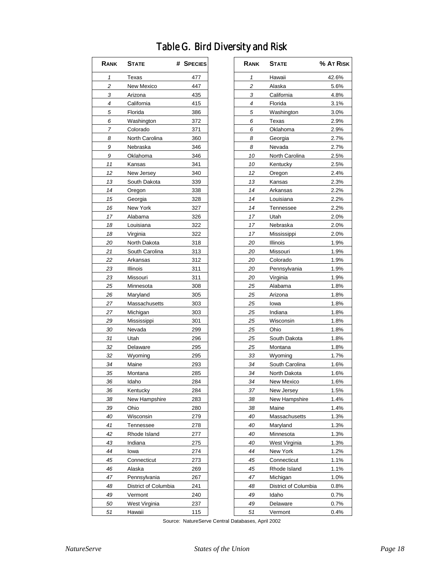### Table G. Bird Diversity and Risk

| RANK | <b>STATE</b>         | # SPECIES |
|------|----------------------|-----------|
| 1    | Texas                | 477       |
| 2    | New Mexico           | 447       |
| 3    | Arizona              | 435       |
| 4    | California           | 415       |
| 5    | Florida              | 386       |
| 6    | Washington           | 372       |
| 7    | Colorado             | 371       |
| 8    | North Carolina       | 360       |
| 9    | Nebraska             | 346       |
| 9    | Oklahoma             | 346       |
| 11   | Kansas               | 341       |
| 12   | New Jersey           | 340       |
| 13   | South Dakota         | 339       |
| 14   | Oregon               | 338       |
| 15   | Georgia              | 328       |
| 16   | New York             | 327       |
| 17   | Alabama              | 326       |
| 18   | Louisiana            | 322       |
| 18   | Virginia             | 322       |
| 20   | North Dakota         | 318       |
| 21   | South Carolina       | 313       |
| 22   | Arkansas             | 312       |
| 23   | Illinois             | 311       |
| 23   | Missouri             | 311       |
| 25   | Minnesota            | 308       |
| 26   | Maryland             | 305       |
| 27   | Massachusetts        | 303       |
| 27   | Michigan             | 303       |
| 29   | Mississippi          | 301       |
| 30   | Nevada               | 299       |
| 31   |                      |           |
|      | Utah                 | 296       |
| 32   | Delaware             | 295       |
| 32   | Wyoming              | 295       |
| 34   | Maine                | 293       |
| 35   | Montana              | 285       |
| 36   | Idaho                | 284       |
| 36   | Kentucky             | 284       |
| 38   | New Hampshire        | 283       |
| 39   | Ohio                 | 280       |
| 40   | Wisconsin            | 279       |
| 41   | Tennessee            | 278       |
| 42   | Rhode Island         | 277       |
| 43   | Indiana              | 275       |
| 44   | lowa                 | 274       |
| 45   | Connecticut          | 273       |
| 46   | Alaska               | 269       |
| 47   | Pennsylvania         | 267       |
| 48   | District of Columbia | 241       |
| 49   | Vermont              | 240       |
| 50   | West Virginia        | 237       |
| 51   | Hawaii               | 115       |

| RANK                | <b>STATE</b>         | # SPECIES | RANK                | <b>STATE</b>         | % AT RISK |
|---------------------|----------------------|-----------|---------------------|----------------------|-----------|
| $\pmb{\mathcal{1}}$ | Texas                | 477       | $\pmb{\mathcal{1}}$ | Hawaii               | 42.6%     |
| 2                   | New Mexico           | 447       | 2                   | Alaska               | 5.6%      |
| 3                   | Arizona              | 435       | 3                   | California           | 4.8%      |
| 4                   | California           | 415       | 4                   | Florida              | 3.1%      |
| 5                   | Florida              | 386       | 5                   | Washington           | 3.0%      |
| 6                   | Washington           | 372       | 6                   | Texas                | 2.9%      |
| 7                   | Colorado             | 371       | 6                   | Oklahoma             | 2.9%      |
| 8                   | North Carolina       | 360       | 8                   | Georgia              | 2.7%      |
| 9                   | Nebraska             | 346       | 8                   | Nevada               | 2.7%      |
| 9                   | Oklahoma             | 346       | 10                  | North Carolina       | 2.5%      |
| 11                  | Kansas               | 341       | 10                  | Kentucky             | 2.5%      |
| 12                  | New Jersey           | 340       | 12                  | Oregon               | 2.4%      |
| 13                  | South Dakota         | 339       | 13                  | Kansas               | 2.3%      |
| 14                  | Oregon               | 338       | 14                  | Arkansas             | 2.2%      |
| 15                  | Georgia              | 328       | 14                  | Louisiana            | 2.2%      |
| 16                  | New York             | 327       | 14                  | Tennessee            | 2.2%      |
| 17                  | Alabama              | 326       | 17                  | Utah                 | 2.0%      |
| 18                  | Louisiana            | 322       | 17                  | Nebraska             | 2.0%      |
| 18                  | Virginia             | 322       | 17                  | Mississippi          | 2.0%      |
| 20                  | North Dakota         | 318       | 20                  | Illinois             | 1.9%      |
| 21                  | South Carolina       | 313       | 20                  | Missouri             | 1.9%      |
| 22                  | Arkansas             | 312       | 20                  | Colorado             | 1.9%      |
| 23                  | Illinois             | 311       | 20                  | Pennsylvania         | 1.9%      |
| 23                  | Missouri             | 311       | 20                  | Virginia             | 1.9%      |
| 25                  | Minnesota            | 308       | 25                  | Alabama              | 1.8%      |
| 26                  | Maryland             | 305       | 25                  | Arizona              | 1.8%      |
| 27                  | Massachusetts        | 303       | 25                  | lowa                 | 1.8%      |
| 27                  | Michigan             | 303       | 25                  | Indiana              | 1.8%      |
| 29                  | Mississippi          | 301       | 25                  | Wisconsin            | 1.8%      |
| 30                  | Nevada               | 299       | 25                  | Ohio                 | 1.8%      |
| 31                  | Utah                 | 296       | 25                  | South Dakota         | 1.8%      |
| 32                  | Delaware             | 295       | 25                  | Montana              | 1.8%      |
| 32                  | Wyoming              | 295       | 33                  | Wyoming              | 1.7%      |
| 34                  | Maine                | 293       | 34                  | South Carolina       | 1.6%      |
| 35                  | Montana              | 285       | 34                  | North Dakota         | 1.6%      |
| 36                  | Idaho                | 284       | 34                  | New Mexico           | 1.6%      |
| 36                  | Kentucky             | 284       | 37                  | New Jersey           | 1.5%      |
| 38                  | New Hampshire        | 283       | 38                  | New Hampshire        | 1.4%      |
| 39                  | Ohio                 | 280       | 38                  | Maine                | 1.4%      |
| 40                  | Wisconsin            | 279       | 40                  | Massachusetts        | 1.3%      |
| 41                  | Tennessee            | 278       | 40                  | Maryland             | 1.3%      |
| 42                  | Rhode Island         | 277       | 40                  | Minnesota            | 1.3%      |
| 43                  | Indiana              | 275       | 40                  | West Virginia        | 1.3%      |
| 44                  | lowa                 | 274       | 44                  | New York             | 1.2%      |
| 45                  | Connecticut          | 273       | 45                  | Connecticut          | 1.1%      |
| 46                  | Alaska               | 269       | 45                  | Rhode Island         | 1.1%      |
| 47                  |                      |           | 47                  |                      |           |
|                     | Pennsylvania         | 267       |                     | Michigan             | 1.0%      |
| 48                  | District of Columbia | 241       | 48                  | District of Columbia | 0.8%      |
| 49                  | Vermont              | 240       | 49                  | Idaho                | 0.7%      |
| 50                  | West Virginia        | 237       | 49                  | Delaware             | $0.7\%$   |
| 51                  | Hawaii               | 115       | 51                  | Vermont              | 0.4%      |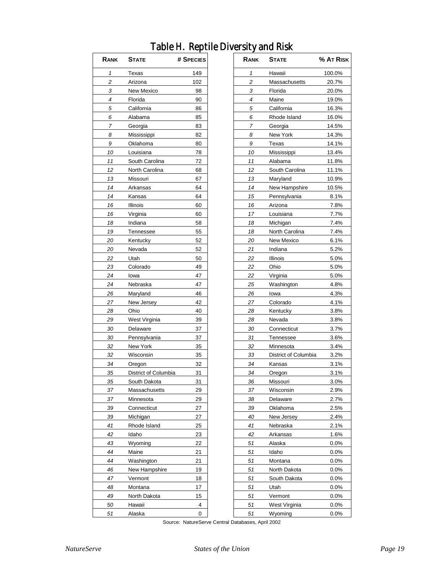### Table H. Reptile Diversity and Risk

| 1<br>Texas<br>149<br>2<br>102<br>Arizona<br>3<br>New Mexico<br>98<br>4<br>Florida<br>90<br>5<br>California<br>86<br>Alabama<br>85<br>6<br>7<br>83<br>Georgia<br>8<br>Mississippi<br>82<br>9<br>Oklahoma<br>80<br>10<br>Louisiana<br>78<br>11<br>South Carolina<br>72<br>12<br>North Carolina<br>68<br>13<br>Missouri<br>67<br>14<br>64<br>Arkansas<br>14<br>Kansas<br>64<br>16<br>Illinois<br>60<br>Virginia<br>16<br>60<br>18<br>Indiana<br>58<br>19<br>55<br>Tennessee<br>20<br>Kentucky<br>52<br>20<br>Nevada<br>52<br>22<br>50<br>Utah<br>23<br>Colorado<br>49<br>24<br>47<br>lowa<br>24<br>Nebraska<br>47<br>26<br>Maryland<br>46<br>27<br>New Jersey<br>42<br>40<br>28<br>Ohio<br>29<br>West Virginia<br>39<br>30<br>Delaware<br>37<br>30<br>Pennsylvania<br>37<br>32<br>New York<br>35<br>Wisconsin<br>35<br>32<br>Oregon<br>32<br>34<br>35<br>District of Columbia<br>31<br>South Dakota<br>35<br>31<br>Massachusetts<br>29<br>37<br>37<br>Minnesota<br>29<br>39<br>Connecticut<br>27<br>39<br>Michigan<br>27<br>41<br>Rhode Island<br>25<br>42<br>23<br>Idaho<br>43<br>22<br>Wyoming<br>44<br>21<br>Maine<br>21<br>44<br>Washington |
|----------------------------------------------------------------------------------------------------------------------------------------------------------------------------------------------------------------------------------------------------------------------------------------------------------------------------------------------------------------------------------------------------------------------------------------------------------------------------------------------------------------------------------------------------------------------------------------------------------------------------------------------------------------------------------------------------------------------------------------------------------------------------------------------------------------------------------------------------------------------------------------------------------------------------------------------------------------------------------------------------------------------------------------------------------------------------------------------------------------------------------------------|
|                                                                                                                                                                                                                                                                                                                                                                                                                                                                                                                                                                                                                                                                                                                                                                                                                                                                                                                                                                                                                                                                                                                                              |
|                                                                                                                                                                                                                                                                                                                                                                                                                                                                                                                                                                                                                                                                                                                                                                                                                                                                                                                                                                                                                                                                                                                                              |
|                                                                                                                                                                                                                                                                                                                                                                                                                                                                                                                                                                                                                                                                                                                                                                                                                                                                                                                                                                                                                                                                                                                                              |
|                                                                                                                                                                                                                                                                                                                                                                                                                                                                                                                                                                                                                                                                                                                                                                                                                                                                                                                                                                                                                                                                                                                                              |
|                                                                                                                                                                                                                                                                                                                                                                                                                                                                                                                                                                                                                                                                                                                                                                                                                                                                                                                                                                                                                                                                                                                                              |
|                                                                                                                                                                                                                                                                                                                                                                                                                                                                                                                                                                                                                                                                                                                                                                                                                                                                                                                                                                                                                                                                                                                                              |
|                                                                                                                                                                                                                                                                                                                                                                                                                                                                                                                                                                                                                                                                                                                                                                                                                                                                                                                                                                                                                                                                                                                                              |
|                                                                                                                                                                                                                                                                                                                                                                                                                                                                                                                                                                                                                                                                                                                                                                                                                                                                                                                                                                                                                                                                                                                                              |
|                                                                                                                                                                                                                                                                                                                                                                                                                                                                                                                                                                                                                                                                                                                                                                                                                                                                                                                                                                                                                                                                                                                                              |
|                                                                                                                                                                                                                                                                                                                                                                                                                                                                                                                                                                                                                                                                                                                                                                                                                                                                                                                                                                                                                                                                                                                                              |
|                                                                                                                                                                                                                                                                                                                                                                                                                                                                                                                                                                                                                                                                                                                                                                                                                                                                                                                                                                                                                                                                                                                                              |
|                                                                                                                                                                                                                                                                                                                                                                                                                                                                                                                                                                                                                                                                                                                                                                                                                                                                                                                                                                                                                                                                                                                                              |
|                                                                                                                                                                                                                                                                                                                                                                                                                                                                                                                                                                                                                                                                                                                                                                                                                                                                                                                                                                                                                                                                                                                                              |
|                                                                                                                                                                                                                                                                                                                                                                                                                                                                                                                                                                                                                                                                                                                                                                                                                                                                                                                                                                                                                                                                                                                                              |
|                                                                                                                                                                                                                                                                                                                                                                                                                                                                                                                                                                                                                                                                                                                                                                                                                                                                                                                                                                                                                                                                                                                                              |
|                                                                                                                                                                                                                                                                                                                                                                                                                                                                                                                                                                                                                                                                                                                                                                                                                                                                                                                                                                                                                                                                                                                                              |
|                                                                                                                                                                                                                                                                                                                                                                                                                                                                                                                                                                                                                                                                                                                                                                                                                                                                                                                                                                                                                                                                                                                                              |
|                                                                                                                                                                                                                                                                                                                                                                                                                                                                                                                                                                                                                                                                                                                                                                                                                                                                                                                                                                                                                                                                                                                                              |
|                                                                                                                                                                                                                                                                                                                                                                                                                                                                                                                                                                                                                                                                                                                                                                                                                                                                                                                                                                                                                                                                                                                                              |
|                                                                                                                                                                                                                                                                                                                                                                                                                                                                                                                                                                                                                                                                                                                                                                                                                                                                                                                                                                                                                                                                                                                                              |
|                                                                                                                                                                                                                                                                                                                                                                                                                                                                                                                                                                                                                                                                                                                                                                                                                                                                                                                                                                                                                                                                                                                                              |
|                                                                                                                                                                                                                                                                                                                                                                                                                                                                                                                                                                                                                                                                                                                                                                                                                                                                                                                                                                                                                                                                                                                                              |
|                                                                                                                                                                                                                                                                                                                                                                                                                                                                                                                                                                                                                                                                                                                                                                                                                                                                                                                                                                                                                                                                                                                                              |
|                                                                                                                                                                                                                                                                                                                                                                                                                                                                                                                                                                                                                                                                                                                                                                                                                                                                                                                                                                                                                                                                                                                                              |
|                                                                                                                                                                                                                                                                                                                                                                                                                                                                                                                                                                                                                                                                                                                                                                                                                                                                                                                                                                                                                                                                                                                                              |
|                                                                                                                                                                                                                                                                                                                                                                                                                                                                                                                                                                                                                                                                                                                                                                                                                                                                                                                                                                                                                                                                                                                                              |
|                                                                                                                                                                                                                                                                                                                                                                                                                                                                                                                                                                                                                                                                                                                                                                                                                                                                                                                                                                                                                                                                                                                                              |
|                                                                                                                                                                                                                                                                                                                                                                                                                                                                                                                                                                                                                                                                                                                                                                                                                                                                                                                                                                                                                                                                                                                                              |
|                                                                                                                                                                                                                                                                                                                                                                                                                                                                                                                                                                                                                                                                                                                                                                                                                                                                                                                                                                                                                                                                                                                                              |
|                                                                                                                                                                                                                                                                                                                                                                                                                                                                                                                                                                                                                                                                                                                                                                                                                                                                                                                                                                                                                                                                                                                                              |
|                                                                                                                                                                                                                                                                                                                                                                                                                                                                                                                                                                                                                                                                                                                                                                                                                                                                                                                                                                                                                                                                                                                                              |
|                                                                                                                                                                                                                                                                                                                                                                                                                                                                                                                                                                                                                                                                                                                                                                                                                                                                                                                                                                                                                                                                                                                                              |
|                                                                                                                                                                                                                                                                                                                                                                                                                                                                                                                                                                                                                                                                                                                                                                                                                                                                                                                                                                                                                                                                                                                                              |
|                                                                                                                                                                                                                                                                                                                                                                                                                                                                                                                                                                                                                                                                                                                                                                                                                                                                                                                                                                                                                                                                                                                                              |
|                                                                                                                                                                                                                                                                                                                                                                                                                                                                                                                                                                                                                                                                                                                                                                                                                                                                                                                                                                                                                                                                                                                                              |
|                                                                                                                                                                                                                                                                                                                                                                                                                                                                                                                                                                                                                                                                                                                                                                                                                                                                                                                                                                                                                                                                                                                                              |
|                                                                                                                                                                                                                                                                                                                                                                                                                                                                                                                                                                                                                                                                                                                                                                                                                                                                                                                                                                                                                                                                                                                                              |
|                                                                                                                                                                                                                                                                                                                                                                                                                                                                                                                                                                                                                                                                                                                                                                                                                                                                                                                                                                                                                                                                                                                                              |
|                                                                                                                                                                                                                                                                                                                                                                                                                                                                                                                                                                                                                                                                                                                                                                                                                                                                                                                                                                                                                                                                                                                                              |
|                                                                                                                                                                                                                                                                                                                                                                                                                                                                                                                                                                                                                                                                                                                                                                                                                                                                                                                                                                                                                                                                                                                                              |
|                                                                                                                                                                                                                                                                                                                                                                                                                                                                                                                                                                                                                                                                                                                                                                                                                                                                                                                                                                                                                                                                                                                                              |
|                                                                                                                                                                                                                                                                                                                                                                                                                                                                                                                                                                                                                                                                                                                                                                                                                                                                                                                                                                                                                                                                                                                                              |
|                                                                                                                                                                                                                                                                                                                                                                                                                                                                                                                                                                                                                                                                                                                                                                                                                                                                                                                                                                                                                                                                                                                                              |
|                                                                                                                                                                                                                                                                                                                                                                                                                                                                                                                                                                                                                                                                                                                                                                                                                                                                                                                                                                                                                                                                                                                                              |
|                                                                                                                                                                                                                                                                                                                                                                                                                                                                                                                                                                                                                                                                                                                                                                                                                                                                                                                                                                                                                                                                                                                                              |
| <b>New Hampshire</b><br>19<br>46                                                                                                                                                                                                                                                                                                                                                                                                                                                                                                                                                                                                                                                                                                                                                                                                                                                                                                                                                                                                                                                                                                             |
| Vermont<br>18<br>47                                                                                                                                                                                                                                                                                                                                                                                                                                                                                                                                                                                                                                                                                                                                                                                                                                                                                                                                                                                                                                                                                                                          |
| 17<br>48<br>Montana                                                                                                                                                                                                                                                                                                                                                                                                                                                                                                                                                                                                                                                                                                                                                                                                                                                                                                                                                                                                                                                                                                                          |
| 49<br>15<br>North Dakota                                                                                                                                                                                                                                                                                                                                                                                                                                                                                                                                                                                                                                                                                                                                                                                                                                                                                                                                                                                                                                                                                                                     |
| Hawaii<br>4<br>50                                                                                                                                                                                                                                                                                                                                                                                                                                                                                                                                                                                                                                                                                                                                                                                                                                                                                                                                                                                                                                                                                                                            |
| 0<br>51<br>Alaska                                                                                                                                                                                                                                                                                                                                                                                                                                                                                                                                                                                                                                                                                                                                                                                                                                                                                                                                                                                                                                                                                                                            |

| RANK         | <b>STATE</b>                         | # SPECIES |
|--------------|--------------------------------------|-----------|
| $\mathbf{1}$ | Texas                                | 149       |
| $\sqrt{2}$   | Arizona                              | 102       |
| 3            | New Mexico                           | 98        |
| 4            | Florida                              | 90        |
| 5            | California                           | 86        |
| 6            | Alabama                              | 85        |
| 7            | Georgia                              | 83        |
| 8            | Mississippi                          | 82        |
| 9            | Oklahoma                             | 80        |
| 10           | Louisiana                            | 78        |
| 11           | South Carolina                       | 72        |
| 12           | North Carolina                       | 68        |
| 13           | Missouri                             | 67        |
| 14           | Arkansas                             | 64        |
| 14           | Kansas                               | 64        |
| 16           | Illinois                             | 60        |
| 16           | Virginia                             | 60        |
| 18           | Indiana                              | 58        |
| 19           | Tennessee                            | 55        |
| 20           | Kentucky                             | 52        |
| 20           | Nevada                               | 52        |
| 22           | Utah                                 | 50        |
| 23           | Colorado                             | 49        |
| 24           | Iowa                                 | 47        |
| 24           | Nebraska                             | 47        |
| 26           | Maryland                             | 46        |
| 27           | New Jersey                           | 42        |
| 28           | Ohio                                 | 40        |
| 29           | West Virginia                        | 39        |
| 30           |                                      | 37        |
| 30           | Delaware                             | 37        |
| 32           | Pennsylvania<br>New York             | 35        |
|              |                                      |           |
| 32<br>34     | Wisconsin                            | 35<br>32  |
|              | Oregon                               | 31        |
| 35<br>35     | District of Columbia<br>South Dakota | 31        |
| 37           | Massachusetts                        | 29        |
|              |                                      | 29        |
| 37           | Minnesota                            | 27        |
| 39           | Connecticut                          | 27        |
| 39           | Michigan                             |           |
| 41           | Rhode Island                         | 25        |
| 42           | Idaho                                | 23        |
| 43           | Wyoming                              | 22        |
| 44           | Maine                                | 21        |
| 44           | Washington                           | 21        |
| 46           | New Hampshire                        | 19        |
| 47           | Vermont                              | 18        |
| 48           | Montana                              | 17        |
| 49           | North Dakota                         | 15        |
| 50           | Hawaii                               | 4         |
| 51           | Alaska                               | 0         |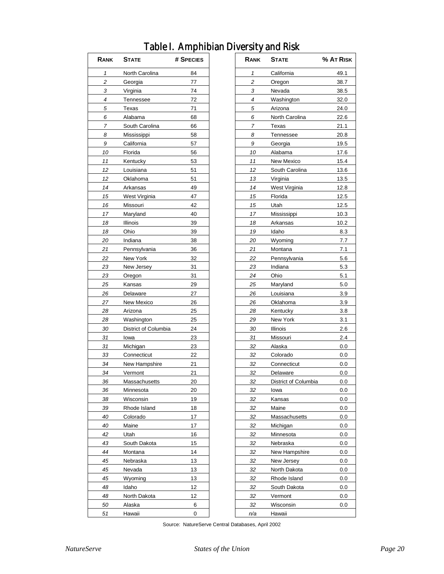| RANK           | <b>STATE</b>          | # SPECIES | <b>RANK</b>    | <b>STATE</b>         | % AT RIS |
|----------------|-----------------------|-----------|----------------|----------------------|----------|
| $\mathbf{1}$   | North Carolina        | 84        | $\mathbf{1}$   | California           | 49.1     |
| $\overline{c}$ | Georgia               | 77        | 2              | Oregon               |          |
| 3              | Virginia              | 74        | 3              | Nevada               |          |
| 4              | Tennessee             | 72        | $\overline{4}$ | Washington           | 32.0     |
| 5              | Texas                 | 71        | 5              | Arizona              | 24.0     |
| 6              | Alabama               | 68        | 6              | North Carolina       | 22.6     |
| 7              | South Carolina        | 66        | 7              | Texas                | 21.1     |
| 8              | Mississippi           | 58        | 8              | Tennessee            |          |
| 9              | California            | 57        | 9              | Georgia              |          |
| 10             | Florida               | 56        | 10             | Alabama              |          |
| 11             | Kentucky              | 53        | 11             | New Mexico           |          |
| 12             | Louisiana             | 51        | 12             | South Carolina       |          |
| 12             | Oklahoma              | 51        | 13             | Virginia             |          |
| 14             | Arkansas              | 49        | 14             | West Virginia        |          |
| 15             | West Virginia         | 47        | 15             | Florida              |          |
| 16             | Missouri              | 42        | 15             | Utah                 |          |
| 17             | Maryland              | 40        | 17             | Mississippi          |          |
| 18             | Illinois              | 39        | 18             | Arkansas             |          |
| 18             | Ohio                  | 39        | 19             | Idaho                |          |
| 20             | Indiana               | 38        | 20             | Wyoming              |          |
| 21             | Pennsylvania          | 36        | 21             | Montana              |          |
| 22             | New York              | 32        | 22             | Pennsylvania         |          |
| 23             | New Jersey            | 31        | 23             | Indiana              |          |
| 23             | Oregon                | 31        | 24             | Ohio                 |          |
| 25             | Kansas                | 29        | 25             | Maryland             |          |
| 26             | Delaware              | 27        | 26             | Louisiana            |          |
| 27             | New Mexico            | 26        | 26             | Oklahoma             |          |
| 28             |                       | 25        | 28             | Kentucky             |          |
| 28             | Arizona<br>Washington | 25        | 29             |                      |          |
|                |                       |           |                | New York             |          |
| 30             | District of Columbia  | 24        | 30             | Illinois             |          |
| 31             | lowa                  | 23        | 31             | Missouri             |          |
| 31             | Michigan              | 23        | 32             | Alaska               |          |
| 33             | Connecticut           | 22        | 32             | Colorado             |          |
| 34             | New Hampshire         | 21        | 32             | Connecticut          |          |
| 34             | Vermont               | 21        | 32             | Delaware             |          |
| 36             | Massachusetts         | 20        | 32             | District of Columbia |          |
| 36             | Minnesota             | 20        | 32             | lowa                 |          |
| 38             | Wisconsin             | 19        | 32             | Kansas               |          |
| 39             | Rhode Island          | 18        | 32             | Maine                |          |
| 40             | Colorado              | 17        | 32             | Massachusetts        |          |
| 40             | Maine                 | 17        | 32             | Michigan             |          |
| 42             | Utah                  | 16        | 32             | Minnesota            |          |
| 43             | South Dakota          | 15        | 32             | Nebraska             |          |
| 44             | Montana               | 14        | 32             | New Hampshire        |          |
| 45             | Nebraska              | 13        | 32             | New Jersey           |          |
| 45             | Nevada                | 13        | 32             | North Dakota         |          |
| 45             | Wyoming               | 13        | 32             | Rhode Island         |          |
| 48             | Idaho                 | 12        | 32             | South Dakota         |          |
| 48             | North Dakota          | 12        | 32             | Vermont              |          |
| 50             | Alaska                | 6         | 32             | Wisconsin            |          |
| 51             | Hawaii                | 0         | n/a            | Hawaii               |          |

### Table I. Amphibian Diversity and Risk

| Rank | <b>STATE</b>         | % At Risk |
|------|----------------------|-----------|
| 1    | California           | 49.1      |
| 2    | Oregon               | 38.7      |
| 3    | Nevada               | 38.5      |
| 4    | Washington           | 32.0      |
| 5    | Arizona              | 24.0      |
| 6    | North Carolina       | 22.6      |
| 7    | Texas                | 21.1      |
| 8    | Tennessee            | 20.8      |
| 9    | Georgia              | 19.5      |
| 10   | Alabama              | 17.6      |
| 11   | New Mexico           | 15.4      |
| 12   | South Carolina       | 13.6      |
| 13   | Virginia             | 13.5      |
| 14   | West Virginia        | 12.8      |
| 15   | Florida              | 12.5      |
| 15   | Utah                 | 12.5      |
| 17   | Mississippi          | 10.3      |
| 18   | Arkansas             | 10.2      |
| 19   | Idaho                | 8.3       |
| 20   | Wyoming              | 7.7       |
| 21   | Montana              | 7.1       |
| 22   | Pennsylvania         | 5.6       |
| 23   | Indiana              | 5.3       |
| 24   | Ohio                 | 5.1       |
| 25   | Maryland             | 5.0       |
| 26   | Louisiana            | 3.9       |
| 26   | Oklahoma             | 3.9       |
| 28   | Kentucky             | 3.8       |
| 29   | New York             | 3.1       |
| 30   |                      |           |
| 31   | Illinois             | 2.6       |
|      | Missouri             | 2.4       |
| 32   | Alaska               | 0.0       |
| 32   | Colorado             | 0.0       |
| 32   | Connecticut          | 0.0       |
| 32   | Delaware             | $_{0.0}$  |
| 32   | District of Columbia | $_{0.0}$  |
| 32   | lowa                 | $_{0.0}$  |
| 32   | Kansas               | 0.0       |
| 32   | Maine                | 0.0       |
| 32   | Massachusetts        | $_{0.0}$  |
| 32   | Michigan             | 0.0       |
| 32   | Minnesota            | 0.0       |
| 32   | Nebraska             | 0.0       |
| 32   | New Hampshire        | 0.0       |
| 32   | New Jersey           | 0.0       |
| 32   | North Dakota         | 0.0       |
| 32   | Rhode Island         | 0.0       |
| 32   | South Dakota         | 0.0       |
| 32   | Vermont              | 0.0       |
| 32   | Wisconsin            | 0.0       |
| n/a  | Hawaii               |           |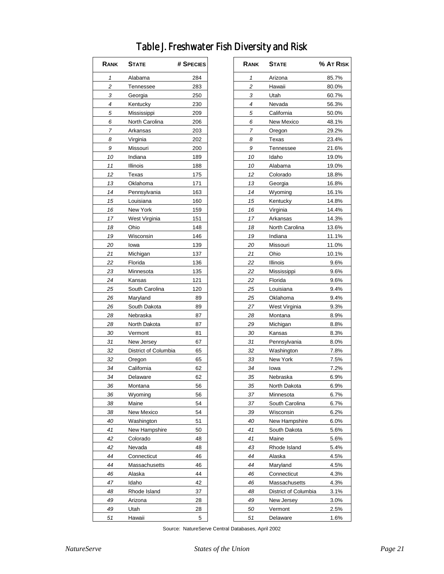### Table J. Freshwater Fish Diversity and Risk

| Rank | <b>STATE</b>         | # SPECIES |
|------|----------------------|-----------|
| 1    | Alabama              | 284       |
| 2    | Tennessee            | 283       |
| 3    | Georgia              | 250       |
| 4    | Kentucky             | 230       |
| 5    | Mississippi          | 209       |
| 6    | North Carolina       | 206       |
| 7    | Arkansas             | 203       |
| 8    | Virginia             | 202       |
| 9    | Missouri             | 200       |
| 10   | Indiana              | 189       |
| 11   | Illinois             | 188       |
| 12   | Texas                | 175       |
| 13   | Oklahoma             | 171       |
| 14   | Pennsylvania         | 163       |
| 15   | Louisiana            | 160       |
| 16   | New York             | 159       |
| 17   | West Virginia        | 151       |
| 18   | Ohio                 | 148       |
| 19   | Wisconsin            | 146       |
| 20   | lowa                 | 139       |
| 21   | Michigan             | 137       |
| 22   | Florida              | 136       |
| 23   | Minnesota            | 135       |
| 24   | Kansas               | 121       |
| 25   | South Carolina       | 120       |
| 26   | Maryland             | 89        |
| 26   | South Dakota         | 89        |
| 28   | Nebraska             | 87        |
| 28   | North Dakota         | 87        |
| 30   | Vermont              | 81        |
| 31   | New Jersey           | 67        |
| 32   | District of Columbia | 65        |
| 32   | Oregon               | 65        |
| 34   | California           | 62        |
| 34   | Delaware             | 62        |
| 36   | Montana              | 56        |
| 36   | Wyoming              | 56        |
| 38   | Maine                | 54        |
| 38   | New Mexico           | 54        |
| 40   | Washington           | 51        |
| 41   | New Hampshire        | 50        |
| 42   | Colorado             | 48        |
| 42   |                      | 48        |
| 44   | Nevada               |           |
| 44   | Connecticut          | 46<br>46  |
|      | Massachusetts        |           |
| 46   | Alaska               | 44        |
| 47   | Idaho                | 42        |
| 48   | Rhode Island         | 37        |
| 49   | Arizona              | 28        |
| 49   | Utah                 | 28        |
| 51   | Hawaii               | 5         |

| RANK     | <b>STATE</b>         | # SPECIES | RANK     | <b>STATE</b>         | % AT RISK    |
|----------|----------------------|-----------|----------|----------------------|--------------|
| 1        | Alabama              | 284       | 1        | Arizona              | 85.7%        |
| 2        | Tennessee            | 283       | 2        | Hawaii               | 80.0%        |
| 3        | Georgia              | 250       | 3        | Utah                 | 60.7%        |
| 4        | Kentucky             | 230       | 4        | Nevada               | 56.3%        |
| 5        | Mississippi          | 209       | 5        | California           | 50.0%        |
| 6        | North Carolina       | 206       | 6        | New Mexico           | 48.1%        |
| 7        | Arkansas             | 203       | 7        | Oregon               | 29.2%        |
| 8        | Virginia             | 202       | 8        | Texas                | 23.4%        |
| 9        | Missouri             | 200       | 9        | Tennessee            | 21.6%        |
| 10       | Indiana              | 189       | 10       | Idaho                | 19.0%        |
| 11       | Illinois             | 188       | 10       | Alabama              | 19.0%        |
| 12       | Texas                | 175       | 12       | Colorado             | 18.8%        |
| 13       | Oklahoma             | 171       | 13       | Georgia              | 16.8%        |
| 14       | Pennsylvania         | 163       | 14       | Wyoming              | 16.1%        |
| 15       | Louisiana            | 160       | 15       | Kentucky             | 14.8%        |
| 16       | New York             | 159       | 16       | Virginia             | 14.4%        |
| 17       | West Virginia        | 151       | 17       | Arkansas             | 14.3%        |
| 18       | Ohio                 | 148       | 18       | North Carolina       | 13.6%        |
| 19       | Wisconsin            | 146       | 19       | Indiana              | 11.1%        |
| 20       | lowa                 | 139       | 20       | Missouri             | 11.0%        |
| 21       | Michigan             | 137       | 21       | Ohio                 | 10.1%        |
| 22       | Florida              | 136       | 22       | Illinois             | 9.6%         |
| 23       | Minnesota            | 135       | 22       | Mississippi          | 9.6%         |
| 24       | Kansas               | 121       | 22       | Florida              | 9.6%         |
| 25       | South Carolina       | 120       | 25       | Louisiana            | 9.4%         |
| 26       | Maryland             | 89        | 25       | Oklahoma             | 9.4%         |
| 26       | South Dakota         | 89        | 27       | West Virginia        | 9.3%         |
| 28       | Nebraska             | 87        | 28       | Montana              | 8.9%         |
| 28       | North Dakota         | 87        | 29       | Michigan             | 8.8%         |
| 30       | Vermont              | 81        | 30       | Kansas               | 8.3%         |
| 31       | New Jersey           | 67        | 31       | Pennsylvania         | 8.0%         |
| 32       | District of Columbia | 65        | 32       | Washington           | 7.8%         |
| 32       | Oregon               | 65        | 33       | New York             | 7.5%         |
| 34       | California           | 62        | 34       | lowa                 | 7.2%         |
| 34       | Delaware             | 62        | 35       | Nebraska             | 6.9%         |
|          |                      |           |          | North Dakota         |              |
| 36<br>36 | Montana<br>Wyoming   | 56<br>56  | 35<br>37 | Minnesota            | 6.9%<br>6.7% |
|          | Maine                |           |          | South Carolina       |              |
| 38       | New Mexico           | 54        | 37       |                      | 6.7%         |
| 38       |                      | 54        | 39       | Wisconsin            | 6.2%         |
| 40       | Washington           | 51        | 40       | New Hampshire        | $6.0\%$      |
| 41       | New Hampshire        | 50        | 41       | South Dakota         | 5.6%         |
| 42       | Colorado             | 48        | 41       | Maine                | 5.6%         |
| 42       | Nevada               | 48        | 43       | Rhode Island         | 5.4%         |
| 44       | Connecticut          | 46        | 44       | Alaska               | 4.5%         |
| 44       | Massachusetts        | 46        | 44       | Maryland             | 4.5%         |
| 46       | Alaska               | 44        | 46       | Connecticut          | 4.3%         |
| 47       | Idaho                | 42        | 46       | Massachusetts        | 4.3%         |
| 48       | Rhode Island         | 37        | 48       | District of Columbia | 3.1%         |
| 49       | Arizona              | 28        | 49       | New Jersey           | 3.0%         |
| 49       | Utah                 | 28        | 50       | Vermont              | 2.5%         |
| 51       | Hawaii               | 5         | 51       | Delaware             | 1.6%         |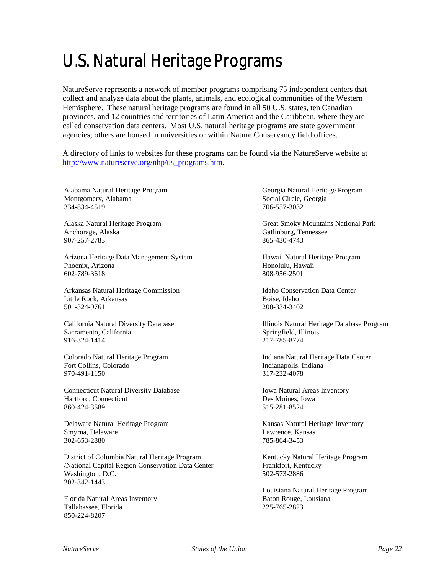# U.S. Natural Heritage Programs

NatureServe represents a network of member programs comprising 75 independent centers that collect and analyze data about the plants, animals, and ecological communities of the Western Hemisphere. These natural heritage programs are found in all 50 U.S. states, ten Canadian provinces, and 12 countries and territories of Latin America and the Caribbean, where they are called conservation data centers. Most U.S. natural heritage programs are state government agencies; others are housed in universities or within Nature Conservancy field offices.

A directory of links to websites for these programs can be found via the NatureServe website at http://www.natureserve.org/nhp/us\_programs.htm.

Alabama Natural Heritage Program Montgomery, Alabama 334-834-4519

Alaska Natural Heritage Program Anchorage, Alaska 907-257-2783

Arizona Heritage Data Management System Phoenix, Arizona 602-789-3618

Arkansas Natural Heritage Commission Little Rock, Arkansas 501-324-9761

California Natural Diversity Database Sacramento, California 916-324-1414

Colorado Natural Heritage Program Fort Collins, Colorado 970-491-1150

Connecticut Natural Diversity Database Hartford, Connecticut 860-424-3589

Delaware Natural Heritage Program Smyrna, Delaware 302-653-2880

District of Columbia Natural Heritage Program /National Capital Region Conservation Data Center Washington, D.C. 202-342-1443

Florida Natural Areas Inventory Tallahassee, Florida 850-224-8207

Georgia Natural Heritage Program Social Circle, Georgia 706-557-3032

Great Smoky Mountains National Park Gatlinburg, Tennessee 865-430-4743

Hawaii Natural Heritage Program Honolulu, Hawaii 808-956-2501

Idaho Conservation Data Center Boise, Idaho 208-334-3402

Illinois Natural Heritage Database Program Springfield, Illinois 217-785-8774

Indiana Natural Heritage Data Center Indianapolis, Indiana 317-232-4078

Iowa Natural Areas Inventory Des Moines, Iowa 515-281-8524

Kansas Natural Heritage Inventory Lawrence, Kansas 785-864-3453

Kentucky Natural Heritage Program Frankfort, Kentucky 502-573-2886

Louisiana Natural Heritage Program Baton Rouge, Lousiana 225-765-2823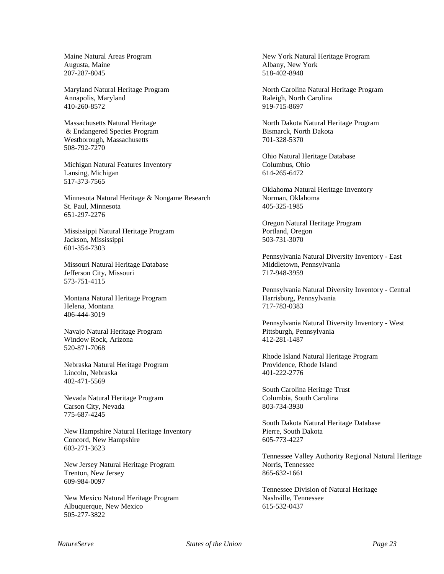Maine Natural Areas Program Augusta, Maine 207-287-8045

Maryland Natural Heritage Program Annapolis, Maryland 410-260-8572

Massachusetts Natural Heritage & Endangered Species Program Westborough, Massachusetts 508-792-7270

Michigan Natural Features Inventory Lansing, Michigan 517-373-7565

Minnesota Natural Heritage & Nongame Research St. Paul, Minnesota 651-297-2276

Mississippi Natural Heritage Program Jackson, Mississippi 601-354-7303

Missouri Natural Heritage Database Jefferson City, Missouri 573-751-4115

Montana Natural Heritage Program Helena, Montana 406-444-3019

Navajo Natural Heritage Program Window Rock, Arizona 520-871-7068

Nebraska Natural Heritage Program Lincoln, Nebraska 402-471-5569

Nevada Natural Heritage Program Carson City, Nevada 775-687-4245

New Hampshire Natural Heritage Inventory Concord, New Hampshire 603-271-3623

New Jersey Natural Heritage Program Trenton, New Jersey 609-984-0097

New Mexico Natural Heritage Program Albuquerque, New Mexico 505-277-3822

New York Natural Heritage Program Albany, New York 518-402-8948

North Carolina Natural Heritage Program Raleigh, North Carolina 919-715-8697

North Dakota Natural Heritage Program Bismarck, North Dakota 701-328-5370

Ohio Natural Heritage Database Columbus, Ohio 614-265-6472

Oklahoma Natural Heritage Inventory Norman, Oklahoma 405-325-1985

Oregon Natural Heritage Program Portland, Oregon 503-731-3070

Pennsylvania Natural Diversity Inventory - East Middletown, Pennsylvania 717-948-3959

Pennsylvania Natural Diversity Inventory - Central Harrisburg, Pennsylvania 717-783-0383

Pennsylvania Natural Diversity Inventory - West Pittsburgh, Pennsylvania 412-281-1487

Rhode Island Natural Heritage Program Providence, Rhode Island 401-222-2776

South Carolina Heritage Trust Columbia, South Carolina 803-734-3930

South Dakota Natural Heritage Database Pierre, South Dakota 605-773-4227

Tennessee Valley Authority Regional Natural Heritage Norris, Tennessee 865-632-1661

Tennessee Division of Natural Heritage Nashville, Tennessee 615-532-0437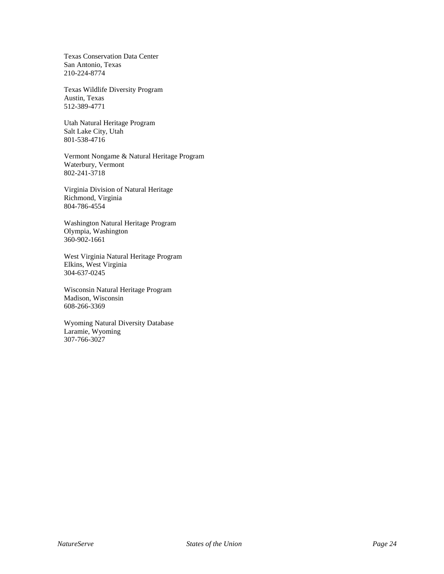Texas Conservation Data Center San Antonio, Texas 210-224-8774

Texas Wildlife Diversity Program Austin, Texas 512-389-4771

Utah Natural Heritage Program Salt Lake City, Utah 801-538-4716

Vermont Nongame & Natural Heritage Program Waterbury, Vermont 802-241-3718

Virginia Division of Natural Heritage Richmond, Virginia 804-786-4554

Washington Natural Heritage Program Olympia, Washington 360-902-1661

West Virginia Natural Heritage Program Elkins, West Virginia 304-637-0245

Wisconsin Natural Heritage Program Madison, Wisconsin 608-266-3369

Wyoming Natural Diversity Database Laramie, Wyoming 307-766-3027